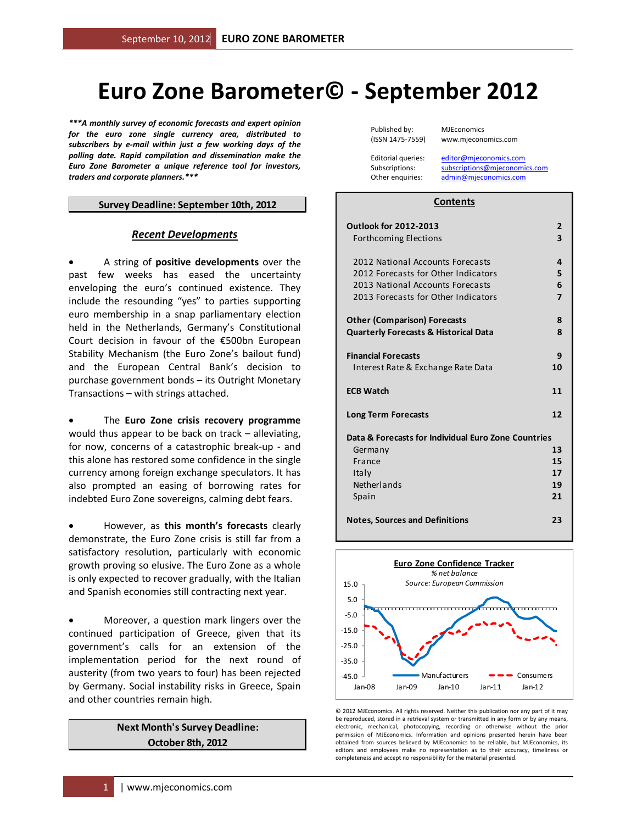# **Euro Zone Barometer© - September 2012**

*\*\*\*A monthly survey of economic forecasts and expert opinion for the euro zone single currency area, distributed to subscribers by e-mail within just a few working days of the polling date. Rapid compilation and dissemination make the Euro Zone Barometer a unique reference tool for investors, traders and corporate planners.\*\*\** 

#### **Survey Deadline: September 10th, 2012**

#### *Recent Developments*

• A string of **positive developments** over the past few weeks has eased the uncertainty enveloping the euro's continued existence. They include the resounding "yes" to parties supporting euro membership in a snap parliamentary election held in the Netherlands, Germany's Constitutional Court decision in favour of the €500bn European Stability Mechanism (the Euro Zone's bailout fund) and the European Central Bank's decision to purchase government bonds – its Outright Monetary Transactions – with strings attached.

• The **Euro Zone crisis recovery programme** would thus appear to be back on track – alleviating, for now, concerns of a catastrophic break-up - and this alone has restored some confidence in the single currency among foreign exchange speculators. It has also prompted an easing of borrowing rates for indebted Euro Zone sovereigns, calming debt fears.

• However, as **this month's forecasts** clearly demonstrate, the Euro Zone crisis is still far from a satisfactory resolution, particularly with economic growth proving so elusive. The Euro Zone as a whole is only expected to recover gradually, with the Italian and Spanish economies still contracting next year.

• Moreover, a question mark lingers over the continued participation of Greece, given that its government's calls for an extension of the implementation period for the next round of austerity (from two years to four) has been rejected by Germany. Social instability risks in Greece, Spain and other countries remain high.

#### **Next Month's Survey Deadline: October 8th, 2012**

Published by: MJEconomics

(ISSN 1475-7559) www.mjeconomics.com

Editorial queries: editor@mjeconomics.com Subscriptions: subscriptions@mjeconomics.com Other enquiries: admin@mjeconomics.com

#### **Contents**

| <b>Outlook for 2012-2013</b>                        | $\overline{2}$ |
|-----------------------------------------------------|----------------|
| <b>Forthcoming Elections</b>                        | 3              |
| 2012 National Accounts Forecasts                    | 4              |
| 2012 Forecasts for Other Indicators                 | 5              |
| 2013 National Accounts Forecasts                    | 6              |
| 2013 Forecasts for Other Indicators                 | $\overline{7}$ |
| <b>Other (Comparison) Forecasts</b>                 | 8              |
| <b>Quarterly Forecasts &amp; Historical Data</b>    | 8              |
| <b>Financial Forecasts</b>                          | 9              |
| Interest Rate & Exchange Rate Data                  | 10             |
| <b>ECB Watch</b>                                    | 11             |
| <b>Long Term Forecasts</b>                          | 12             |
| Data & Forecasts for Individual Euro Zone Countries |                |
| Germany                                             | 13             |
| France                                              | 15             |
| Italy                                               | 17             |
| <b>Netherlands</b>                                  | 19             |
| Spain                                               | 21             |
| <b>Notes, Sources and Definitions</b>               | 23             |



© 2012 MJEconomics. All rights reserved. Neither this publication nor any part of it may be reproduced, stored in a retrieval system or transmitted in any form or by any means, electronic, mechanical, photocopying, recording or otherwise without the prior permission of MJEconomics. Information and opinions presented herein have been obtained from sources believed by MJEconomics to be reliable, but MJEconomics, its editors and employees make no representation as to their accuracy, timeliness or completeness and accept no responsibility for the material presented.

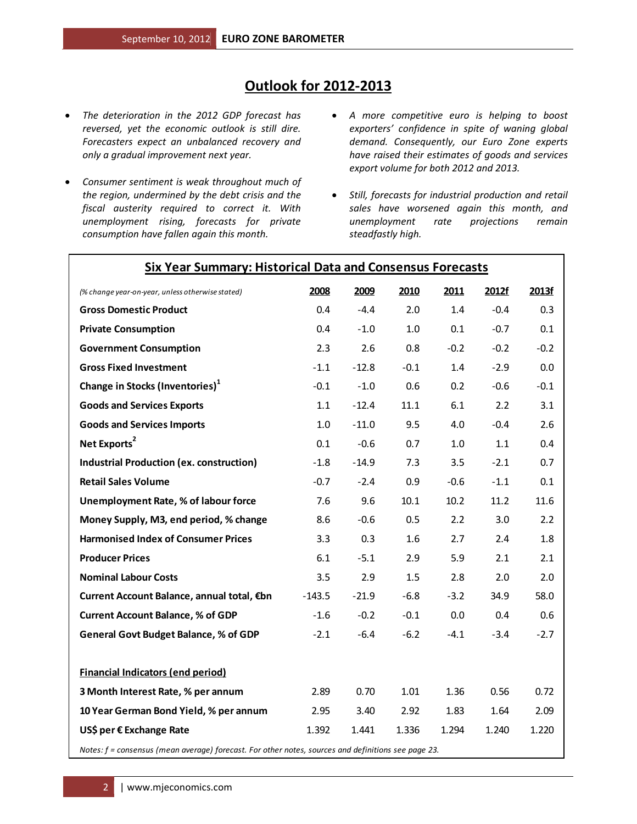# **Outlook for 2012-2013**

- *The deterioration in the 2012 GDP forecast has reversed, yet the economic outlook is still dire. Forecasters expect an unbalanced recovery and only a gradual improvement next year.*
- *Consumer sentiment is weak throughout much of the region, undermined by the debt crisis and the fiscal austerity required to correct it. With unemployment rising, forecasts for private consumption have fallen again this month.*
- *A more competitive euro is helping to boost exporters' confidence in spite of waning global demand. Consequently, our Euro Zone experts have raised their estimates of goods and services export volume for both 2012 and 2013.*
- *Still, forecasts for industrial production and retail sales have worsened again this month, and unemployment rate projections remain steadfastly high.*

| <b>Six Year Summary: Historical Data and Consensus Forecasts</b>                                    |          |         |        |        |        |        |
|-----------------------------------------------------------------------------------------------------|----------|---------|--------|--------|--------|--------|
| (% change year-on-year, unless otherwise stated)                                                    | 2008     | 2009    | 2010   | 2011   | 2012f  | 2013f  |
| <b>Gross Domestic Product</b>                                                                       | 0.4      | $-4.4$  | 2.0    | 1.4    | $-0.4$ | 0.3    |
| <b>Private Consumption</b>                                                                          | 0.4      | $-1.0$  | 1.0    | 0.1    | $-0.7$ | 0.1    |
| <b>Government Consumption</b>                                                                       | 2.3      | 2.6     | 0.8    | $-0.2$ | $-0.2$ | $-0.2$ |
| <b>Gross Fixed Investment</b>                                                                       | $-1.1$   | $-12.8$ | $-0.1$ | 1.4    | $-2.9$ | 0.0    |
| Change in Stocks (Inventories) <sup>1</sup>                                                         | $-0.1$   | $-1.0$  | 0.6    | 0.2    | $-0.6$ | $-0.1$ |
| <b>Goods and Services Exports</b>                                                                   | 1.1      | $-12.4$ | 11.1   | 6.1    | 2.2    | 3.1    |
| <b>Goods and Services Imports</b>                                                                   | 1.0      | $-11.0$ | 9.5    | 4.0    | $-0.4$ | 2.6    |
| Net Exports <sup>2</sup>                                                                            | 0.1      | $-0.6$  | 0.7    | 1.0    | 1.1    | 0.4    |
| <b>Industrial Production (ex. construction)</b>                                                     | $-1.8$   | $-14.9$ | 7.3    | 3.5    | $-2.1$ | 0.7    |
| <b>Retail Sales Volume</b>                                                                          | $-0.7$   | $-2.4$  | 0.9    | $-0.6$ | $-1.1$ | 0.1    |
| <b>Unemployment Rate, % of labour force</b>                                                         | 7.6      | 9.6     | 10.1   | 10.2   | 11.2   | 11.6   |
| Money Supply, M3, end period, % change                                                              | 8.6      | $-0.6$  | 0.5    | 2.2    | 3.0    | 2.2    |
| <b>Harmonised Index of Consumer Prices</b>                                                          | 3.3      | 0.3     | 1.6    | 2.7    | 2.4    | 1.8    |
| <b>Producer Prices</b>                                                                              | 6.1      | $-5.1$  | 2.9    | 5.9    | 2.1    | 2.1    |
| <b>Nominal Labour Costs</b>                                                                         | 3.5      | 2.9     | 1.5    | 2.8    | 2.0    | 2.0    |
| Current Account Balance, annual total, €bn                                                          | $-143.5$ | $-21.9$ | $-6.8$ | $-3.2$ | 34.9   | 58.0   |
| <b>Current Account Balance, % of GDP</b>                                                            | $-1.6$   | $-0.2$  | $-0.1$ | 0.0    | 0.4    | 0.6    |
| <b>General Govt Budget Balance, % of GDP</b>                                                        | $-2.1$   | $-6.4$  | $-6.2$ | $-4.1$ | $-3.4$ | $-2.7$ |
| <b>Financial Indicators (end period)</b>                                                            |          |         |        |        |        |        |
| 3 Month Interest Rate, % per annum                                                                  | 2.89     | 0.70    | 1.01   | 1.36   | 0.56   | 0.72   |
| 10 Year German Bond Yield, % per annum                                                              | 2.95     | 3.40    | 2.92   | 1.83   | 1.64   | 2.09   |
| US\$ per € Exchange Rate                                                                            | 1.392    | 1.441   | 1.336  | 1.294  | 1.240  | 1.220  |
| Notes: f = consensus (mean average) forecast. For other notes, sources and definitions see page 23. |          |         |        |        |        |        |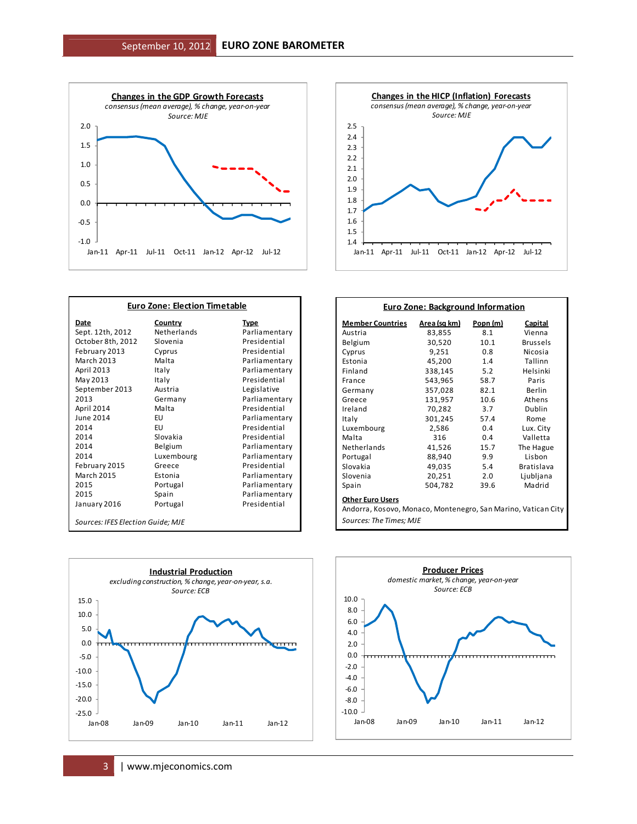



| <b>Euro Zone: Election Timetable</b> |                |               |  |  |  |  |  |
|--------------------------------------|----------------|---------------|--|--|--|--|--|
| Date                                 | <u>Country</u> | <b>Type</b>   |  |  |  |  |  |
| Sept. 12th, 2012                     | Netherlands    | Parliamentary |  |  |  |  |  |
| October 8th, 2012                    | Slovenia       | Presidential  |  |  |  |  |  |
| February 2013                        | Cyprus         | Presidential  |  |  |  |  |  |
| <b>March 2013</b>                    | Malta          | Parliamentary |  |  |  |  |  |
| April 2013                           | Italy          | Parliamentary |  |  |  |  |  |
| May 2013                             | Italy          | Presidential  |  |  |  |  |  |
| September 2013                       | Austria        | Legislative   |  |  |  |  |  |
| 2013                                 | Germany        | Parliamentary |  |  |  |  |  |
| April 2014                           | Malta          | Presidential  |  |  |  |  |  |
| June 2014                            | EU             | Parliamentary |  |  |  |  |  |
| 2014                                 | EU             | Presidential  |  |  |  |  |  |
| 2014                                 | Slovakia       | Presidential  |  |  |  |  |  |
| 2014                                 | Belgium        | Parliamentary |  |  |  |  |  |
| 2014                                 | Luxembourg     | Parliamentary |  |  |  |  |  |
| February 2015                        | Greece         | Presidential  |  |  |  |  |  |
| <b>March 2015</b>                    | Estonia        | Parliamentary |  |  |  |  |  |
| 2015                                 | Portugal       | Parliamentary |  |  |  |  |  |
| 2015                                 | Spain          | Parliamentary |  |  |  |  |  |
| January 2016                         | Portugal       | Presidential  |  |  |  |  |  |
| Sources: IFES Election Guide; MJE    |                |               |  |  |  |  |  |

| <b>Member Countries</b>                                                                  | <u>Area (sq km)</u> | Popn (m)      | <b>Capital</b>    |
|------------------------------------------------------------------------------------------|---------------------|---------------|-------------------|
| Austria                                                                                  | 83,855              | 8.1           | Vienna            |
| Belgium                                                                                  | 30,520              | 10.1          | <b>Brussels</b>   |
| Cyprus                                                                                   | 9,251               | $0.8^{\circ}$ | Nicosia           |
| Estonia                                                                                  | 45,200              | 1.4           | Tallinn           |
| Finland                                                                                  | 338,145             | 5.2           | Helsinki          |
| France                                                                                   | 543,965             | 58.7          | Paris             |
| Germany                                                                                  | 357,028             | 82.1          | Berlin            |
| Greece                                                                                   | 131,957             | 10.6          | Athens            |
| Ireland                                                                                  | 70,282              | 3.7           | Dublin            |
| Italy                                                                                    | 301,245             | 57.4          | Rome              |
| Luxembourg                                                                               | 2,586               | 0.4           | Lux. City         |
| Malta                                                                                    | 316                 | 0.4           | Valletta          |
| Netherlands                                                                              | 41,526              | 15.7          | The Hague         |
| Portugal                                                                                 | 88,940              | 9.9           | Lisbon            |
| Slovakia                                                                                 | 49,035              | 5.4           | <b>Bratislava</b> |
| Slovenia                                                                                 | 20,251              | 2.0           | Ljubljana         |
| Spain                                                                                    | 504,782             | 39.6          | Madrid            |
| <b>Other Euro Users</b><br>Andorra, Kosovo, Monaco, Montenegro, San Marino, Vatican City |                     |               |                   |

 $\overline{1}$ 



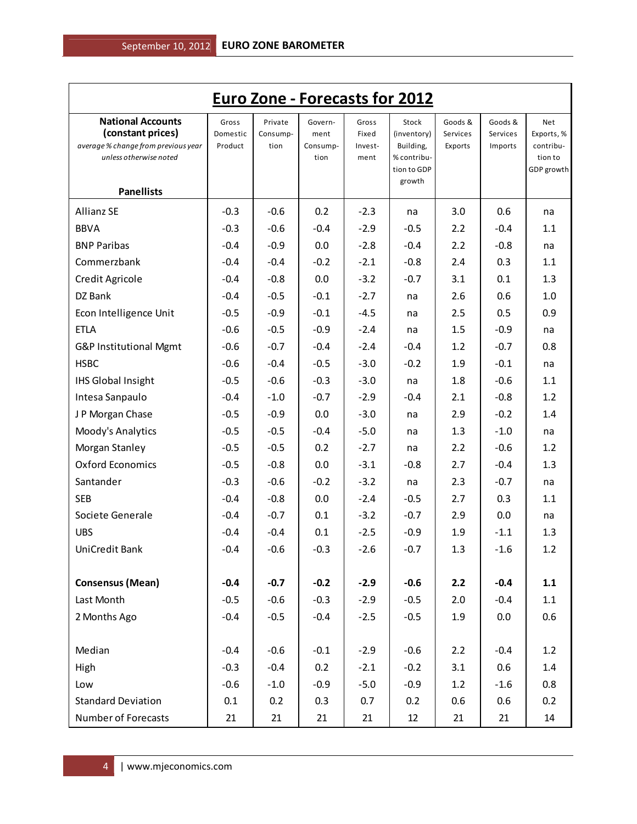| <b>Euro Zone - Forecasts for 2012</b>                                                                                               |                              |                             |                                     |                                   |                                                                           |                                |                                |                                                         |  |  |
|-------------------------------------------------------------------------------------------------------------------------------------|------------------------------|-----------------------------|-------------------------------------|-----------------------------------|---------------------------------------------------------------------------|--------------------------------|--------------------------------|---------------------------------------------------------|--|--|
| <b>National Accounts</b><br>(constant prices)<br>average % change from previous year<br>unless otherwise noted<br><b>Panellists</b> | Gross<br>Domestic<br>Product | Private<br>Consump-<br>tion | Govern-<br>ment<br>Consump-<br>tion | Gross<br>Fixed<br>Invest-<br>ment | Stock<br>(inventory)<br>Building,<br>% contribu-<br>tion to GDP<br>growth | Goods &<br>Services<br>Exports | Goods &<br>Services<br>Imports | Net<br>Exports, %<br>contribu-<br>tion to<br>GDP growth |  |  |
| <b>Allianz SE</b>                                                                                                                   | $-0.3$                       | $-0.6$                      | 0.2                                 | $-2.3$                            | na                                                                        | 3.0                            | 0.6                            | na                                                      |  |  |
| <b>BBVA</b>                                                                                                                         | $-0.3$                       | $-0.6$                      | $-0.4$                              | $-2.9$                            | $-0.5$                                                                    | 2.2                            | $-0.4$                         | 1.1                                                     |  |  |
| <b>BNP Paribas</b>                                                                                                                  | $-0.4$                       | $-0.9$                      | 0.0                                 | $-2.8$                            | $-0.4$                                                                    | 2.2                            | $-0.8$                         | na                                                      |  |  |
| Commerzbank                                                                                                                         | $-0.4$                       | $-0.4$                      | $-0.2$                              | $-2.1$                            | $-0.8$                                                                    | 2.4                            | 0.3                            | 1.1                                                     |  |  |
| Credit Agricole                                                                                                                     | $-0.4$                       | $-0.8$                      | 0.0                                 | $-3.2$                            | $-0.7$                                                                    | 3.1                            | 0.1                            | 1.3                                                     |  |  |
| DZ Bank                                                                                                                             | $-0.4$                       | $-0.5$                      | $-0.1$                              | $-2.7$                            | na                                                                        | 2.6                            | 0.6                            | 1.0                                                     |  |  |
| Econ Intelligence Unit                                                                                                              | $-0.5$                       | $-0.9$                      | $-0.1$                              | $-4.5$                            | na                                                                        | 2.5                            | 0.5                            | 0.9                                                     |  |  |
| <b>ETLA</b>                                                                                                                         | $-0.6$                       | $-0.5$                      | $-0.9$                              | $-2.4$                            | na                                                                        | 1.5                            | $-0.9$                         | na                                                      |  |  |
| G&P Institutional Mgmt                                                                                                              | $-0.6$                       | $-0.7$                      | $-0.4$                              | $-2.4$                            | $-0.4$                                                                    | 1.2                            | $-0.7$                         | 0.8                                                     |  |  |
| <b>HSBC</b>                                                                                                                         | $-0.6$                       | $-0.4$                      | $-0.5$                              | $-3.0$                            | $-0.2$                                                                    | 1.9                            | $-0.1$                         | na                                                      |  |  |
| <b>IHS Global Insight</b>                                                                                                           | $-0.5$                       | $-0.6$                      | $-0.3$                              | $-3.0$                            | na                                                                        | 1.8                            | $-0.6$                         | 1.1                                                     |  |  |
| Intesa Sanpaulo                                                                                                                     | $-0.4$                       | $-1.0$                      | $-0.7$                              | $-2.9$                            | $-0.4$                                                                    | 2.1                            | $-0.8$                         | 1.2                                                     |  |  |
| J P Morgan Chase                                                                                                                    | $-0.5$                       | $-0.9$                      | 0.0                                 | $-3.0$                            | na                                                                        | 2.9                            | $-0.2$                         | 1.4                                                     |  |  |
| Moody's Analytics                                                                                                                   | $-0.5$                       | $-0.5$                      | $-0.4$                              | $-5.0$                            | na                                                                        | 1.3                            | $-1.0$                         | na                                                      |  |  |
| Morgan Stanley                                                                                                                      | $-0.5$                       | $-0.5$                      | 0.2                                 | $-2.7$                            | na                                                                        | 2.2                            | $-0.6$                         | 1.2                                                     |  |  |
| <b>Oxford Economics</b>                                                                                                             | $-0.5$                       | $-0.8$                      | 0.0                                 | $-3.1$                            | $-0.8$                                                                    | 2.7                            | $-0.4$                         | 1.3                                                     |  |  |
| Santander                                                                                                                           | $-0.3$                       | $-0.6$                      | $-0.2$                              | $-3.2$                            | na                                                                        | 2.3                            | $-0.7$                         | na                                                      |  |  |
| <b>SEB</b>                                                                                                                          | $-0.4$                       | $-0.8$                      | 0.0                                 | $-2.4$                            | $-0.5$                                                                    | 2.7                            | 0.3                            | 1.1                                                     |  |  |
| Societe Generale                                                                                                                    | $-0.4$                       | $-0.7$                      | 0.1                                 | $-3.2$                            | $-0.7$                                                                    | 2.9                            | 0.0                            | na                                                      |  |  |
| <b>UBS</b>                                                                                                                          | $-0.4$                       | $-0.4$                      | 0.1                                 | $-2.5$                            | $-0.9$                                                                    | 1.9                            | $-1.1$                         | 1.3                                                     |  |  |
| UniCredit Bank                                                                                                                      | $-0.4$                       | $-0.6$                      | $-0.3$                              | $-2.6$                            | $-0.7$                                                                    | 1.3                            | $-1.6$                         | 1.2                                                     |  |  |
|                                                                                                                                     |                              |                             |                                     |                                   |                                                                           |                                |                                |                                                         |  |  |
| <b>Consensus (Mean)</b>                                                                                                             | $-0.4$                       | $-0.7$                      | $-0.2$                              | $-2.9$                            | $-0.6$                                                                    | 2.2                            | $-0.4$                         | 1.1                                                     |  |  |
| Last Month                                                                                                                          | $-0.5$                       | $-0.6$                      | $-0.3$                              | $-2.9$                            | $-0.5$                                                                    | 2.0                            | $-0.4$                         | 1.1                                                     |  |  |
| 2 Months Ago                                                                                                                        | $-0.4$                       | $-0.5$                      | $-0.4$                              | $-2.5$                            | $-0.5$                                                                    | 1.9                            | 0.0                            | 0.6                                                     |  |  |
|                                                                                                                                     |                              |                             |                                     |                                   |                                                                           |                                |                                |                                                         |  |  |
| Median                                                                                                                              | $-0.4$                       | $-0.6$                      | $-0.1$                              | $-2.9$                            | $-0.6$                                                                    | 2.2                            | $-0.4$                         | 1.2                                                     |  |  |
| High                                                                                                                                | $-0.3$                       | $-0.4$                      | 0.2                                 | $-2.1$                            | $-0.2$                                                                    | 3.1                            | 0.6                            | 1.4                                                     |  |  |
| Low                                                                                                                                 | $-0.6$                       | $-1.0$                      | $-0.9$                              | $-5.0$                            | $-0.9$                                                                    | 1.2                            | $-1.6$                         | 0.8                                                     |  |  |
| <b>Standard Deviation</b>                                                                                                           | 0.1                          | 0.2                         | 0.3                                 | 0.7                               | 0.2                                                                       | 0.6                            | 0.6                            | 0.2                                                     |  |  |
| Number of Forecasts                                                                                                                 | 21                           | 21                          | 21                                  | 21                                | 12                                                                        | 21                             | 21                             | 14                                                      |  |  |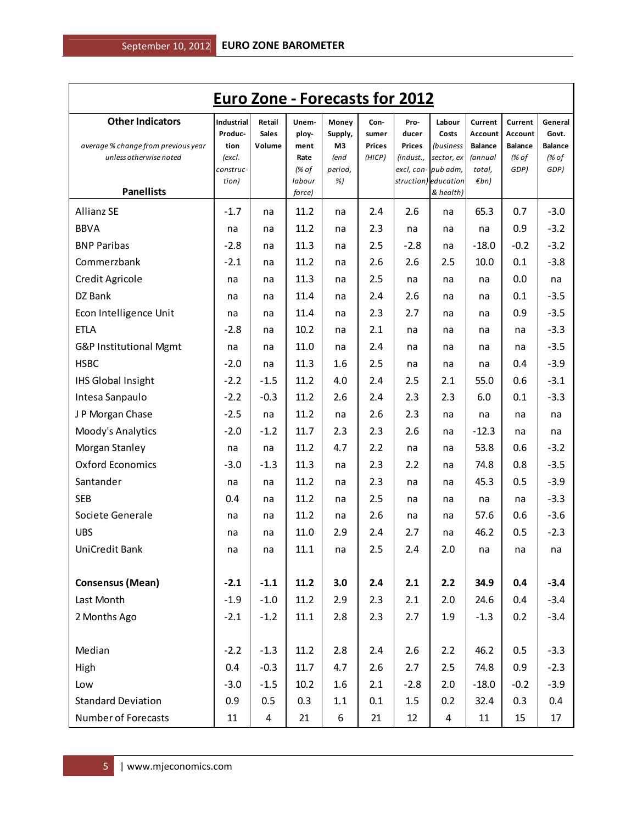| <b>Euro Zone - Forecasts for 2012</b>                                                    |                                                             |                                  |                                         |                                           |                                          |                                             |                                                                   |                                                                  |                                                       |                                                     |
|------------------------------------------------------------------------------------------|-------------------------------------------------------------|----------------------------------|-----------------------------------------|-------------------------------------------|------------------------------------------|---------------------------------------------|-------------------------------------------------------------------|------------------------------------------------------------------|-------------------------------------------------------|-----------------------------------------------------|
| <b>Other Indicators</b><br>average % change from previous year<br>unless otherwise noted | <b>Industrial</b><br>Produc-<br>tion<br>(excl.<br>construc- | Retail<br><b>Sales</b><br>Volume | Unem-<br>ploy-<br>ment<br>Rate<br>(% of | Money<br>Supply,<br>M3<br>(end<br>period, | Con-<br>sumer<br><b>Prices</b><br>(HICP) | Pro-<br>ducer<br><b>Prices</b><br>(indust., | Labour<br>Costs<br>(business<br>sector, ex<br>excl, con- pub adm, | Current<br>Account<br><b>Balance</b><br><i>(annual</i><br>total, | Current<br>Account<br><b>Balance</b><br>(% of<br>GDP) | General<br>Govt.<br><b>Balance</b><br>(% of<br>GDP) |
| <b>Panellists</b>                                                                        | tion)                                                       |                                  | labour<br>force)                        | %)                                        |                                          |                                             | struction) education<br>& health)                                 | $\not\varepsilon$ bn)                                            |                                                       |                                                     |
| <b>Allianz SE</b>                                                                        | $-1.7$                                                      | na                               | 11.2                                    | na                                        | 2.4                                      | 2.6                                         | na                                                                | 65.3                                                             | 0.7                                                   | $-3.0$                                              |
| <b>BBVA</b>                                                                              | na                                                          | na                               | 11.2                                    | na                                        | 2.3                                      | na                                          | na                                                                | na                                                               | 0.9                                                   | $-3.2$                                              |
| <b>BNP Paribas</b>                                                                       | $-2.8$                                                      | na                               | 11.3                                    | na                                        | 2.5                                      | $-2.8$                                      | na                                                                | $-18.0$                                                          | $-0.2$                                                | $-3.2$                                              |
| Commerzbank                                                                              | $-2.1$                                                      | na                               | 11.2                                    | na                                        | 2.6                                      | 2.6                                         | 2.5                                                               | 10.0                                                             | 0.1                                                   | $-3.8$                                              |
| Credit Agricole                                                                          | na                                                          | na                               | 11.3                                    | na                                        | 2.5                                      | na                                          | na                                                                | na                                                               | 0.0                                                   | na                                                  |
| DZ Bank                                                                                  | na                                                          | na                               | 11.4                                    | na                                        | 2.4                                      | 2.6                                         | na                                                                | na                                                               | 0.1                                                   | $-3.5$                                              |
| Econ Intelligence Unit                                                                   | na                                                          | na                               | 11.4                                    | na                                        | 2.3                                      | 2.7                                         | na                                                                | na                                                               | 0.9                                                   | $-3.5$                                              |
| <b>ETLA</b>                                                                              | $-2.8$                                                      | na                               | 10.2                                    | na                                        | 2.1                                      | na                                          | na                                                                | na                                                               | na                                                    | $-3.3$                                              |
| G&P Institutional Mgmt                                                                   | na                                                          | na                               | 11.0                                    | na                                        | 2.4                                      | na                                          | na                                                                | na                                                               | na                                                    | $-3.5$                                              |
| <b>HSBC</b>                                                                              | $-2.0$                                                      | na                               | 11.3                                    | 1.6                                       | 2.5                                      | na                                          | na                                                                | na                                                               | 0.4                                                   | $-3.9$                                              |
| <b>IHS Global Insight</b>                                                                | $-2.2$                                                      | $-1.5$                           | 11.2                                    | 4.0                                       | 2.4                                      | 2.5                                         | 2.1                                                               | 55.0                                                             | 0.6                                                   | $-3.1$                                              |
| Intesa Sanpaulo                                                                          | $-2.2$                                                      | $-0.3$                           | 11.2                                    | 2.6                                       | 2.4                                      | 2.3                                         | 2.3                                                               | 6.0                                                              | 0.1                                                   | $-3.3$                                              |
| J P Morgan Chase                                                                         | $-2.5$                                                      | na                               | 11.2                                    | na                                        | 2.6                                      | 2.3                                         | na                                                                | na                                                               | na                                                    | na                                                  |
| Moody's Analytics                                                                        | $-2.0$                                                      | $-1.2$                           | 11.7                                    | 2.3                                       | 2.3                                      | 2.6                                         | na                                                                | $-12.3$                                                          | na                                                    | na                                                  |
| Morgan Stanley                                                                           | na                                                          | na                               | 11.2                                    | 4.7                                       | 2.2                                      | na                                          | na                                                                | 53.8                                                             | 0.6                                                   | $-3.2$                                              |
| <b>Oxford Economics</b>                                                                  | $-3.0$                                                      | $-1.3$                           | 11.3                                    | na                                        | 2.3                                      | 2.2                                         | na                                                                | 74.8                                                             | 0.8                                                   | $-3.5$                                              |
| Santander                                                                                | na                                                          | na                               | 11.2                                    | na                                        | 2.3                                      | na                                          | na                                                                | 45.3                                                             | 0.5                                                   | $-3.9$                                              |
| <b>SEB</b>                                                                               | 0.4                                                         | na                               | 11.2                                    | na                                        | 2.5                                      | na                                          | na                                                                | na                                                               | na                                                    | $-3.3$                                              |
| Societe Generale                                                                         | na                                                          | na                               | 11.2                                    | na                                        | 2.6                                      | na                                          | na                                                                | 57.6                                                             | 0.6                                                   | $-3.6$                                              |
| <b>UBS</b>                                                                               | na                                                          | na                               | 11.0                                    | 2.9                                       | 2.4                                      | 2.7                                         | na                                                                | 46.2                                                             | 0.5                                                   | $-2.3$                                              |
| UniCredit Bank                                                                           | na                                                          | na                               | 11.1                                    | na                                        | 2.5                                      | 2.4                                         | 2.0                                                               | na                                                               | na                                                    | na                                                  |
| <b>Consensus (Mean)</b>                                                                  | $-2.1$                                                      | $-1.1$                           | 11.2                                    | 3.0                                       | 2.4                                      | 2.1                                         | 2.2                                                               | 34.9                                                             | 0.4                                                   | $-3.4$                                              |
| Last Month                                                                               | $-1.9$                                                      | $-1.0$                           | 11.2                                    | 2.9                                       | 2.3                                      | 2.1                                         | 2.0                                                               | 24.6                                                             | 0.4                                                   | $-3.4$                                              |
| 2 Months Ago                                                                             | $-2.1$                                                      | $-1.2$                           | 11.1                                    | 2.8                                       | 2.3                                      | 2.7                                         | 1.9                                                               | $-1.3$                                                           | 0.2                                                   | $-3.4$                                              |
|                                                                                          |                                                             |                                  |                                         |                                           |                                          |                                             |                                                                   |                                                                  |                                                       |                                                     |
| Median                                                                                   | $-2.2$                                                      | $-1.3$                           | 11.2                                    | 2.8                                       | 2.4                                      | 2.6                                         | 2.2                                                               | 46.2                                                             | 0.5                                                   | $-3.3$                                              |
| High                                                                                     | 0.4                                                         | $-0.3$                           | 11.7                                    | 4.7                                       | 2.6                                      | 2.7                                         | 2.5                                                               | 74.8                                                             | 0.9                                                   | $-2.3$                                              |
| Low                                                                                      | $-3.0$                                                      | $-1.5$                           | 10.2                                    | 1.6                                       | 2.1                                      | $-2.8$                                      | 2.0                                                               | $-18.0$                                                          | $-0.2$                                                | $-3.9$                                              |
| <b>Standard Deviation</b>                                                                | 0.9                                                         | 0.5                              | 0.3                                     | 1.1                                       | 0.1                                      | 1.5                                         | 0.2                                                               | 32.4                                                             | 0.3                                                   | 0.4                                                 |
| Number of Forecasts                                                                      | 11                                                          | 4                                | 21                                      | 6                                         | 21                                       | 12                                          | 4                                                                 | 11                                                               | 15                                                    | 17                                                  |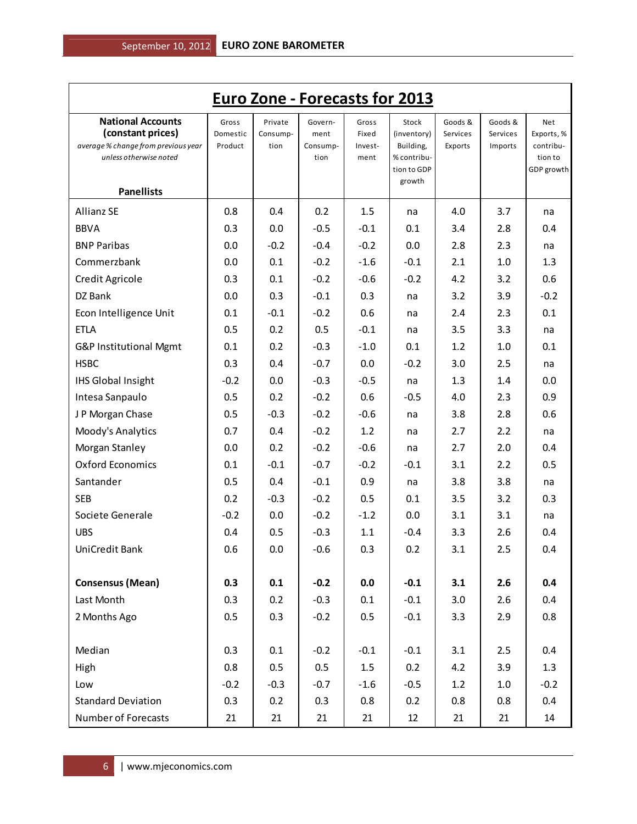| <b>Euro Zone - Forecasts for 2013</b>                                                                                               |                              |                             |                                     |                                   |                                                                           |                                |                                |                                                         |  |  |
|-------------------------------------------------------------------------------------------------------------------------------------|------------------------------|-----------------------------|-------------------------------------|-----------------------------------|---------------------------------------------------------------------------|--------------------------------|--------------------------------|---------------------------------------------------------|--|--|
| <b>National Accounts</b><br>(constant prices)<br>average % change from previous year<br>unless otherwise noted<br><b>Panellists</b> | Gross<br>Domestic<br>Product | Private<br>Consump-<br>tion | Govern-<br>ment<br>Consump-<br>tion | Gross<br>Fixed<br>Invest-<br>ment | Stock<br>(inventory)<br>Building,<br>% contribu-<br>tion to GDP<br>growth | Goods &<br>Services<br>Exports | Goods &<br>Services<br>Imports | Net<br>Exports, %<br>contribu-<br>tion to<br>GDP growth |  |  |
| <b>Allianz SE</b>                                                                                                                   | 0.8                          | 0.4                         | 0.2                                 | 1.5                               | na                                                                        | 4.0                            | 3.7                            | na                                                      |  |  |
| <b>BBVA</b>                                                                                                                         | 0.3                          | 0.0                         | $-0.5$                              | $-0.1$                            | 0.1                                                                       | 3.4                            | 2.8                            | 0.4                                                     |  |  |
| <b>BNP Paribas</b>                                                                                                                  | 0.0                          | $-0.2$                      | $-0.4$                              | $-0.2$                            | 0.0                                                                       | 2.8                            | 2.3                            | na                                                      |  |  |
| Commerzbank                                                                                                                         | 0.0                          | 0.1                         | $-0.2$                              | $-1.6$                            | $-0.1$                                                                    | 2.1                            | 1.0                            | 1.3                                                     |  |  |
| Credit Agricole                                                                                                                     | 0.3                          | 0.1                         | $-0.2$                              | $-0.6$                            | $-0.2$                                                                    | 4.2                            | 3.2                            | 0.6                                                     |  |  |
| DZ Bank                                                                                                                             | 0.0                          | 0.3                         | $-0.1$                              | 0.3                               | na                                                                        | 3.2                            | 3.9                            | $-0.2$                                                  |  |  |
| Econ Intelligence Unit                                                                                                              | 0.1                          | $-0.1$                      | $-0.2$                              | 0.6                               | na                                                                        | 2.4                            | 2.3                            | 0.1                                                     |  |  |
| <b>ETLA</b>                                                                                                                         | 0.5                          | 0.2                         | 0.5                                 | $-0.1$                            | na                                                                        | 3.5                            | 3.3                            | na                                                      |  |  |
| G&P Institutional Mgmt                                                                                                              | 0.1                          | 0.2                         | $-0.3$                              | $-1.0$                            | 0.1                                                                       | 1.2                            | 1.0                            | 0.1                                                     |  |  |
| <b>HSBC</b>                                                                                                                         | 0.3                          | 0.4                         | $-0.7$                              | 0.0                               | $-0.2$                                                                    | 3.0                            | 2.5                            | na                                                      |  |  |
| <b>IHS Global Insight</b>                                                                                                           | $-0.2$                       | 0.0                         | $-0.3$                              | $-0.5$                            | na                                                                        | 1.3                            | 1.4                            | 0.0                                                     |  |  |
| Intesa Sanpaulo                                                                                                                     | 0.5                          | 0.2                         | $-0.2$                              | 0.6                               | $-0.5$                                                                    | 4.0                            | 2.3                            | 0.9                                                     |  |  |
| J P Morgan Chase                                                                                                                    | 0.5                          | $-0.3$                      | $-0.2$                              | $-0.6$                            | na                                                                        | 3.8                            | 2.8                            | 0.6                                                     |  |  |
| Moody's Analytics                                                                                                                   | 0.7                          | 0.4                         | $-0.2$                              | 1.2                               | na                                                                        | 2.7                            | 2.2                            | na                                                      |  |  |
| Morgan Stanley                                                                                                                      | 0.0                          | 0.2                         | $-0.2$                              | $-0.6$                            | na                                                                        | 2.7                            | 2.0                            | 0.4                                                     |  |  |
| <b>Oxford Economics</b>                                                                                                             | 0.1                          | $-0.1$                      | $-0.7$                              | $-0.2$                            | $-0.1$                                                                    | 3.1                            | 2.2                            | 0.5                                                     |  |  |
| Santander                                                                                                                           | 0.5                          | 0.4                         | $-0.1$                              | 0.9                               | na                                                                        | 3.8                            | 3.8                            | na                                                      |  |  |
| <b>SEB</b>                                                                                                                          | 0.2                          | $-0.3$                      | $-0.2$                              | 0.5                               | 0.1                                                                       | 3.5                            | 3.2                            | 0.3                                                     |  |  |
| Societe Generale                                                                                                                    | $-0.2$                       | 0.0                         | $-0.2$                              | $-1.2$                            | 0.0                                                                       | 3.1                            | 3.1                            | na                                                      |  |  |
| <b>UBS</b>                                                                                                                          | 0.4                          | 0.5                         | $-0.3$                              | 1.1                               | $-0.4$                                                                    | 3.3                            | 2.6                            | 0.4                                                     |  |  |
| UniCredit Bank                                                                                                                      | 0.6                          | 0.0                         | -0.6                                | 0.3                               | 0.2                                                                       | 3.1                            | 2.5                            | 0.4                                                     |  |  |
| <b>Consensus (Mean)</b>                                                                                                             | 0.3                          | 0.1                         | $-0.2$                              | 0.0                               | $-0.1$                                                                    | 3.1                            | 2.6                            | 0.4                                                     |  |  |
| Last Month                                                                                                                          | 0.3                          | 0.2                         | $-0.3$                              | 0.1                               | $-0.1$                                                                    | 3.0                            | 2.6                            | 0.4                                                     |  |  |
| 2 Months Ago                                                                                                                        | 0.5                          | 0.3                         | $-0.2$                              | $0.5\,$                           | $-0.1$                                                                    | 3.3                            | 2.9                            | 0.8                                                     |  |  |
| Median                                                                                                                              | 0.3                          | 0.1                         | $-0.2$                              | $-0.1$                            | $-0.1$                                                                    | 3.1                            | 2.5                            | 0.4                                                     |  |  |
| High                                                                                                                                | 0.8                          | 0.5                         | 0.5                                 | 1.5                               | 0.2                                                                       | 4.2                            | 3.9                            | 1.3                                                     |  |  |
| Low                                                                                                                                 | $-0.2$                       | $-0.3$                      | $-0.7$                              | $-1.6$                            | $-0.5$                                                                    | 1.2                            | 1.0                            | $-0.2$                                                  |  |  |
| <b>Standard Deviation</b>                                                                                                           | 0.3                          | 0.2                         | 0.3                                 | 0.8                               | 0.2                                                                       | 0.8                            | 0.8                            | 0.4                                                     |  |  |
| Number of Forecasts                                                                                                                 | 21                           | 21                          | 21                                  | 21                                | 12                                                                        | 21                             | 21                             | 14                                                      |  |  |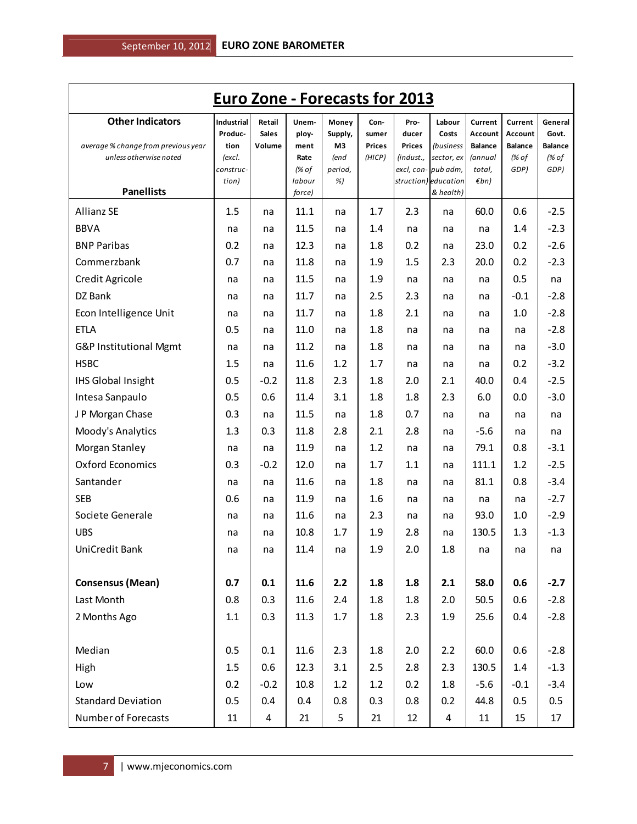| <b>Euro Zone - Forecasts for 2013</b>                          |                               |                                  |                        |                        |                                |                                |                                  |                                      |                                      |                                    |
|----------------------------------------------------------------|-------------------------------|----------------------------------|------------------------|------------------------|--------------------------------|--------------------------------|----------------------------------|--------------------------------------|--------------------------------------|------------------------------------|
| <b>Other Indicators</b><br>average % change from previous year | Industrial<br>Produc-<br>tion | Retail<br><b>Sales</b><br>Volume | Unem-<br>ploy-<br>ment | Money<br>Supply,<br>M3 | Con-<br>sumer<br><b>Prices</b> | Pro-<br>ducer<br><b>Prices</b> | Labour<br>Costs<br>(business     | Current<br>Account<br><b>Balance</b> | Current<br>Account<br><b>Balance</b> | General<br>Govt.<br><b>Balance</b> |
| unless otherwise noted                                         | (excl.<br>construc-           |                                  | Rate<br>(% of          | (end<br>period,        | (HICP)                         | (indust.,                      | sector, ex<br>excl, con-pub adm, | <i>(annual</i><br>total,             | (% of<br>GDP)                        | (% of<br>GDP)                      |
|                                                                | tion)                         |                                  | labour                 | %)                     |                                |                                | struction) education             | $\n  Emb\n$                          |                                      |                                    |
| <b>Panellists</b>                                              |                               |                                  | force)                 |                        |                                |                                | & health)                        |                                      |                                      |                                    |
| <b>Allianz SE</b>                                              | 1.5                           | na                               | 11.1                   | na                     | 1.7                            | 2.3                            | na                               | 60.0                                 | 0.6                                  | $-2.5$                             |
| <b>BBVA</b>                                                    | na                            | na                               | 11.5                   | na                     | 1.4                            | na                             | na                               | na                                   | 1.4                                  | $-2.3$                             |
| <b>BNP Paribas</b>                                             | 0.2                           | na                               | 12.3                   | na                     | 1.8                            | 0.2                            | na                               | 23.0                                 | 0.2                                  | $-2.6$                             |
| Commerzbank                                                    | 0.7                           | na                               | 11.8                   | na                     | 1.9                            | 1.5                            | 2.3                              | 20.0                                 | 0.2                                  | $-2.3$                             |
| Credit Agricole                                                | na                            | na                               | 11.5                   | na                     | 1.9                            | na                             | na                               | na                                   | 0.5                                  | na                                 |
| DZ Bank                                                        | na                            | na                               | 11.7                   | na                     | 2.5                            | 2.3                            | na                               | na                                   | $-0.1$                               | $-2.8$                             |
| Econ Intelligence Unit                                         | na                            | na                               | 11.7                   | na                     | 1.8                            | 2.1                            | na                               | na                                   | 1.0                                  | $-2.8$                             |
| <b>ETLA</b>                                                    | 0.5                           | na                               | 11.0                   | na                     | 1.8                            | na                             | na                               | na                                   | na                                   | $-2.8$                             |
| G&P Institutional Mgmt                                         | na                            | na                               | 11.2                   | na                     | 1.8                            | na                             | na                               | na                                   | na                                   | $-3.0$                             |
| <b>HSBC</b>                                                    | 1.5                           | na                               | 11.6                   | 1.2                    | 1.7                            | na                             | na                               | na                                   | 0.2                                  | $-3.2$                             |
| <b>IHS Global Insight</b>                                      | 0.5                           | $-0.2$                           | 11.8                   | 2.3                    | 1.8                            | 2.0                            | 2.1                              | 40.0                                 | 0.4                                  | $-2.5$                             |
| Intesa Sanpaulo                                                | 0.5                           | 0.6                              | 11.4                   | 3.1                    | 1.8                            | 1.8                            | 2.3                              | 6.0                                  | 0.0                                  | $-3.0$                             |
| J P Morgan Chase                                               | 0.3                           | na                               | 11.5                   | na                     | 1.8                            | 0.7                            | na                               | na                                   | na                                   | na                                 |
| Moody's Analytics                                              | 1.3                           | 0.3                              | 11.8                   | 2.8                    | 2.1                            | 2.8                            | na                               | $-5.6$                               | na                                   | na                                 |
| Morgan Stanley                                                 | na                            | na                               | 11.9                   | na                     | 1.2                            | na                             | na                               | 79.1                                 | 0.8                                  | $-3.1$                             |
| <b>Oxford Economics</b>                                        | 0.3                           | $-0.2$                           | 12.0                   | na                     | 1.7                            | 1.1                            | na                               | 111.1                                | 1.2                                  | $-2.5$                             |
| Santander                                                      | na                            | na                               | 11.6                   | na                     | 1.8                            | na                             | na                               | 81.1                                 | 0.8                                  | $-3.4$                             |
| <b>SEB</b>                                                     | 0.6                           | na                               | 11.9                   | na                     | 1.6                            | na                             | na                               | na                                   | na                                   | $-2.7$                             |
| Societe Generale                                               | na                            | na                               | 11.6                   | na                     | 2.3                            | na                             | na                               | 93.0                                 | 1.0                                  | $-2.9$                             |
| <b>UBS</b>                                                     | na                            | na                               | 10.8                   | 1.7                    | 1.9                            | 2.8                            | na                               | 130.5                                | 1.3                                  | $-1.3$                             |
| UniCredit Bank                                                 | na                            | na                               | 11.4                   | na                     | 1.9                            | 2.0                            | $1.8\,$                          | na                                   | na                                   | na                                 |
| <b>Consensus (Mean)</b>                                        | 0.7                           | 0.1                              | 11.6                   | 2.2                    | 1.8                            | 1.8                            | 2.1                              | 58.0                                 | 0.6                                  | $-2.7$                             |
| Last Month                                                     | 0.8                           | 0.3                              | 11.6                   | 2.4                    | 1.8                            | 1.8                            | 2.0                              | 50.5                                 | 0.6                                  | $-2.8$                             |
| 2 Months Ago                                                   | 1.1                           | 0.3                              | 11.3                   | 1.7                    | 1.8                            | 2.3                            | 1.9                              | 25.6                                 | 0.4                                  | $-2.8$                             |
| Median                                                         | 0.5                           | 0.1                              | 11.6                   | 2.3                    | 1.8                            | 2.0                            | 2.2                              | 60.0                                 | 0.6                                  | $-2.8$                             |
| High                                                           | 1.5                           | 0.6                              | 12.3                   | 3.1                    | 2.5                            | 2.8                            | 2.3                              | 130.5                                | 1.4                                  | $-1.3$                             |
| Low                                                            | 0.2                           | $-0.2$                           | 10.8                   | 1.2                    | 1.2                            | 0.2                            | 1.8                              | $-5.6$                               | $-0.1$                               | $-3.4$                             |
| <b>Standard Deviation</b>                                      | 0.5                           | 0.4                              | 0.4                    | 0.8                    | 0.3                            | 0.8                            | 0.2                              | 44.8                                 | 0.5                                  | 0.5                                |
| <b>Number of Forecasts</b>                                     | $11\,$                        | $\overline{4}$                   | 21                     | 5                      | 21                             | 12                             | 4                                | 11                                   | 15                                   | 17                                 |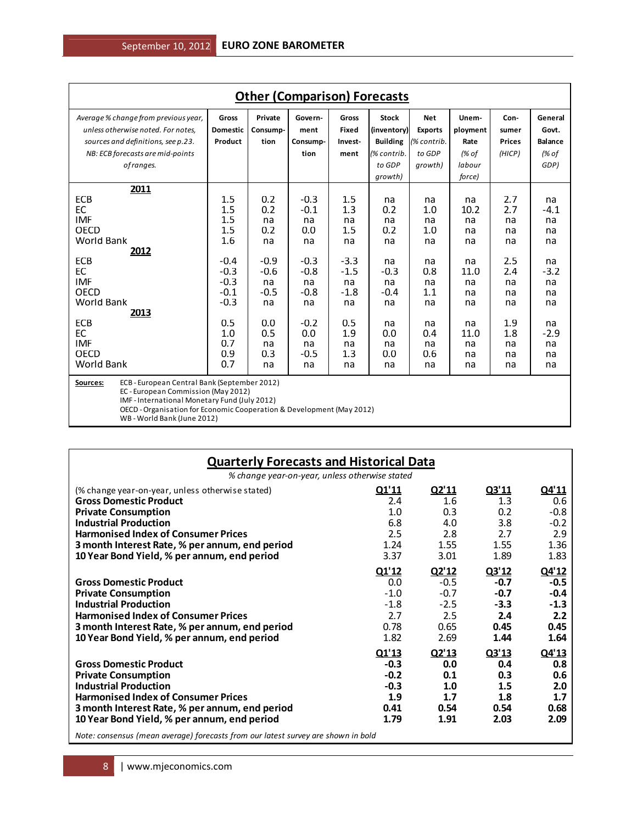| <b>Other (Comparison) Forecasts</b>                                                                                                                                                          |                                                                                                                                                                                                               |                                                                                                          |                                                                                                                      |                                                                                                          |                                                                                                    |                                                                                              |                                                                                              |                                                                                              |                                                                                                    |  |
|----------------------------------------------------------------------------------------------------------------------------------------------------------------------------------------------|---------------------------------------------------------------------------------------------------------------------------------------------------------------------------------------------------------------|----------------------------------------------------------------------------------------------------------|----------------------------------------------------------------------------------------------------------------------|----------------------------------------------------------------------------------------------------------|----------------------------------------------------------------------------------------------------|----------------------------------------------------------------------------------------------|----------------------------------------------------------------------------------------------|----------------------------------------------------------------------------------------------|----------------------------------------------------------------------------------------------------|--|
| Average % change from previous year,<br>unless otherwise noted. For notes,<br>sources and definitions, see p.23.<br>NB: ECB forecasts are mid-points<br>of ranges.                           | Gross<br><b>Domestic</b><br>Product                                                                                                                                                                           | Private<br>Consump-<br>tion                                                                              | Govern-<br>ment<br>Consump-<br>tion                                                                                  | Gross<br><b>Fixed</b><br>Invest-<br>ment                                                                 | <b>Stock</b><br>(inventory)<br><b>Building</b><br>(% contrib.<br>to GDP<br>growth)                 | <b>Net</b><br><b>Exports</b><br>(% contrib.<br>to GDP<br>growth)                             | Unem-<br>ployment<br>Rate<br>(% of<br>labour<br>force)                                       | Con-<br>sumer<br><b>Prices</b><br>(HICP)                                                     | General<br>Govt.<br><b>Balance</b><br>(% of<br>GDP)                                                |  |
| 2011<br>ECB<br>EC<br><b>IMF</b><br>OECD<br><b>World Bank</b><br>2012<br>ECB<br>EC<br><b>IMF</b><br><b>OECD</b><br>World Bank<br>2013<br>ECB<br>EC<br><b>IMF</b><br>OECD<br><b>World Bank</b> | 1.5<br>1.5<br>1.5<br>1.5<br>1.6<br>$-0.4$<br>$-0.3$<br>$-0.3$<br>$-0.1$<br>$-0.3$<br>0.5<br>1.0<br>0.7<br>0.9<br>0.7                                                                                          | 0.2<br>0.2<br>na<br>0.2<br>na<br>$-0.9$<br>$-0.6$<br>na<br>$-0.5$<br>na<br>0.0<br>0.5<br>na<br>0.3<br>na | $-0.3$<br>$-0.1$<br>na<br>0.0<br>na<br>$-0.3$<br>$-0.8$<br>na<br>$-0.8$<br>na<br>$-0.2$<br>0.0<br>na<br>$-0.5$<br>na | 1.5<br>1.3<br>na<br>1.5<br>na<br>$-3.3$<br>$-1.5$<br>na<br>$-1.8$<br>na<br>0.5<br>1.9<br>na<br>1.3<br>na | na<br>0.2<br>na<br>0.2<br>na<br>na<br>$-0.3$<br>na<br>$-0.4$<br>na<br>na<br>0.0<br>na<br>0.0<br>na | na<br>1.0<br>na<br>1.0<br>na<br>na<br>0.8<br>na<br>1.1<br>na<br>na<br>0.4<br>na<br>0.6<br>na | na<br>10.2<br>na<br>na<br>na<br>na<br>11.0<br>na<br>na<br>na<br>na<br>11.0<br>na<br>na<br>na | 2.7<br>2.7<br>na<br>na<br>na<br>2.5<br>2.4<br>na<br>na<br>na<br>1.9<br>1.8<br>na<br>na<br>na | na<br>$-4.1$<br>na<br>na<br>na<br>na<br>$-3.2$<br>na<br>na<br>na<br>na<br>$-2.9$<br>na<br>na<br>na |  |
| Sources:<br>WB - World Bank (June 2012)                                                                                                                                                      | ECB - European Central Bank (September 2012)<br>EC - European Commission (May 2012)<br>IMF - International Monetary Fund (July 2012)<br>OECD - Organisation for Economic Cooperation & Development (May 2012) |                                                                                                          |                                                                                                                      |                                                                                                          |                                                                                                    |                                                                                              |                                                                                              |                                                                                              |                                                                                                    |  |

| <b>Quarterly Forecasts and Historical Data</b>                                                                                                                                                                                                                                                                                  |                                                            |                                                            |                                                            |                                                            |  |  |  |  |  |  |
|---------------------------------------------------------------------------------------------------------------------------------------------------------------------------------------------------------------------------------------------------------------------------------------------------------------------------------|------------------------------------------------------------|------------------------------------------------------------|------------------------------------------------------------|------------------------------------------------------------|--|--|--|--|--|--|
| % change year-on-year, unless otherwise stated                                                                                                                                                                                                                                                                                  |                                                            |                                                            |                                                            |                                                            |  |  |  |  |  |  |
| (% change year-on-year, unless otherwise stated)<br><b>Gross Domestic Product</b><br><b>Private Consumption</b><br><b>Industrial Production</b><br><b>Harmonised Index of Consumer Prices</b><br>3 month Interest Rate, % per annum, end period<br>10 Year Bond Yield, % per annum, end period                                  | Q1'11<br>2.4<br>1.0<br>6.8<br>2.5<br>1.24<br>3.37          | Q2'11<br>1.6<br>0.3<br>4.0<br>2.8<br>1.55<br>3.01          | Q3'11<br>1.3<br>0.2<br>3.8<br>2.7<br>1.55<br>1.89          | Q4'11<br>0.6<br>$-0.8$<br>$-0.2$<br>2.9<br>1.36<br>1.83    |  |  |  |  |  |  |
| <b>Gross Domestic Product</b><br><b>Private Consumption</b><br><b>Industrial Production</b><br><b>Harmonised Index of Consumer Prices</b><br>3 month Interest Rate, % per annum, end period<br>10 Year Bond Yield, % per annum, end period                                                                                      | Q1'12<br>0.0<br>$-1.0$<br>$-1.8$<br>2.7<br>0.78<br>1.82    | Q2'12<br>$-0.5$<br>$-0.7$<br>$-2.5$<br>2.5<br>0.65<br>2.69 | Q3'12<br>$-0.7$<br>$-0.7$<br>$-3.3$<br>2.4<br>0.45<br>1.44 | Q4'12<br>$-0.5$<br>$-0.4$<br>$-1.3$<br>2.2<br>0.45<br>1.64 |  |  |  |  |  |  |
| <b>Gross Domestic Product</b><br><b>Private Consumption</b><br><b>Industrial Production</b><br><b>Harmonised Index of Consumer Prices</b><br>3 month Interest Rate, % per annum, end period<br>10 Year Bond Yield, % per annum, end period<br>Note: consensus (mean average) forecasts from our latest survey are shown in bold | Q1'13<br>$-0.3$<br>$-0.2$<br>$-0.3$<br>1.9<br>0.41<br>1.79 | Q2'13<br>0.0<br>0.1<br>1.0<br>1.7<br>0.54<br>1.91          | Q3'13<br>0.4<br>0.3<br>1.5<br>1.8<br>0.54<br>2.03          | Q4'13<br>0.8<br>0.6<br>2.0<br>1.7<br>0.68<br>2.09          |  |  |  |  |  |  |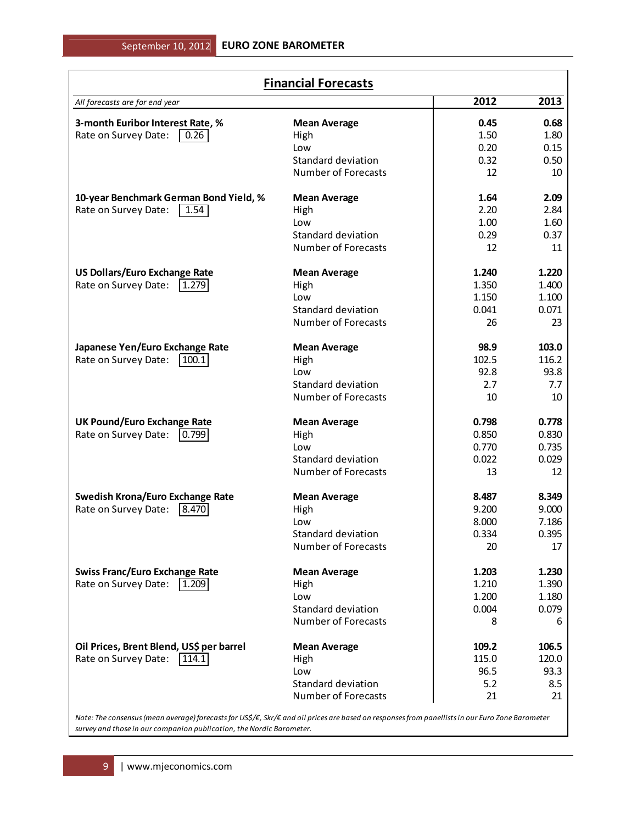| <b>Financial Forecasts</b>                                                                                                                      |                            |       |       |  |  |  |  |  |
|-------------------------------------------------------------------------------------------------------------------------------------------------|----------------------------|-------|-------|--|--|--|--|--|
| All forecasts are for end year                                                                                                                  |                            | 2012  | 2013  |  |  |  |  |  |
| 3-month Euribor Interest Rate, %                                                                                                                | <b>Mean Average</b>        | 0.45  | 0.68  |  |  |  |  |  |
| Rate on Survey Date:<br> 0.26                                                                                                                   | High                       | 1.50  | 1.80  |  |  |  |  |  |
|                                                                                                                                                 | Low                        | 0.20  | 0.15  |  |  |  |  |  |
|                                                                                                                                                 | <b>Standard deviation</b>  | 0.32  | 0.50  |  |  |  |  |  |
|                                                                                                                                                 | <b>Number of Forecasts</b> | 12    | 10    |  |  |  |  |  |
| 10-year Benchmark German Bond Yield, %                                                                                                          | <b>Mean Average</b>        | 1.64  | 2.09  |  |  |  |  |  |
| Rate on Survey Date:<br>$\vert$ 1.54 $\vert$                                                                                                    | High                       | 2.20  | 2.84  |  |  |  |  |  |
|                                                                                                                                                 | Low                        | 1.00  | 1.60  |  |  |  |  |  |
|                                                                                                                                                 | <b>Standard deviation</b>  | 0.29  | 0.37  |  |  |  |  |  |
|                                                                                                                                                 | <b>Number of Forecasts</b> | 12    | 11    |  |  |  |  |  |
| <b>US Dollars/Euro Exchange Rate</b>                                                                                                            | <b>Mean Average</b>        | 1.240 | 1.220 |  |  |  |  |  |
| Rate on Survey Date:<br>1.279                                                                                                                   | High                       | 1.350 | 1.400 |  |  |  |  |  |
|                                                                                                                                                 | Low                        | 1.150 | 1.100 |  |  |  |  |  |
|                                                                                                                                                 | Standard deviation         | 0.041 | 0.071 |  |  |  |  |  |
|                                                                                                                                                 | <b>Number of Forecasts</b> | 26    | 23    |  |  |  |  |  |
| Japanese Yen/Euro Exchange Rate                                                                                                                 | <b>Mean Average</b>        | 98.9  | 103.0 |  |  |  |  |  |
| Rate on Survey Date:<br>100.1                                                                                                                   | High                       | 102.5 | 116.2 |  |  |  |  |  |
|                                                                                                                                                 | Low                        | 92.8  | 93.8  |  |  |  |  |  |
|                                                                                                                                                 | <b>Standard deviation</b>  | 2.7   | 7.7   |  |  |  |  |  |
|                                                                                                                                                 | <b>Number of Forecasts</b> | 10    | 10    |  |  |  |  |  |
| <b>UK Pound/Euro Exchange Rate</b>                                                                                                              | <b>Mean Average</b>        | 0.798 | 0.778 |  |  |  |  |  |
| Rate on Survey Date:<br> 0.799                                                                                                                  | High                       | 0.850 | 0.830 |  |  |  |  |  |
|                                                                                                                                                 | Low                        | 0.770 | 0.735 |  |  |  |  |  |
|                                                                                                                                                 | <b>Standard deviation</b>  | 0.022 | 0.029 |  |  |  |  |  |
|                                                                                                                                                 | <b>Number of Forecasts</b> | 13    | 12    |  |  |  |  |  |
| <b>Swedish Krona/Euro Exchange Rate</b>                                                                                                         | <b>Mean Average</b>        | 8.487 | 8.349 |  |  |  |  |  |
| Rate on Survey Date:<br> 8.470                                                                                                                  | High                       | 9.200 | 9.000 |  |  |  |  |  |
|                                                                                                                                                 | Low                        | 8.000 | 7.186 |  |  |  |  |  |
|                                                                                                                                                 | <b>Standard deviation</b>  | 0.334 | 0.395 |  |  |  |  |  |
|                                                                                                                                                 | <b>Number of Forecasts</b> | 20    | 17    |  |  |  |  |  |
| <b>Swiss Franc/Euro Exchange Rate</b>                                                                                                           | <b>Mean Average</b>        | 1.203 | 1.230 |  |  |  |  |  |
| $\sqrt{1.209}$<br>Rate on Survey Date:                                                                                                          | High                       | 1.210 | 1.390 |  |  |  |  |  |
|                                                                                                                                                 | Low                        | 1.200 | 1.180 |  |  |  |  |  |
|                                                                                                                                                 | Standard deviation         | 0.004 | 0.079 |  |  |  |  |  |
|                                                                                                                                                 | <b>Number of Forecasts</b> | 8     | 6     |  |  |  |  |  |
| Oil Prices, Brent Blend, US\$ per barrel                                                                                                        | <b>Mean Average</b>        | 109.2 | 106.5 |  |  |  |  |  |
| Rate on Survey Date:<br> 114.1                                                                                                                  | High                       | 115.0 | 120.0 |  |  |  |  |  |
|                                                                                                                                                 | Low                        | 96.5  | 93.3  |  |  |  |  |  |
|                                                                                                                                                 | Standard deviation         | 5.2   | 8.5   |  |  |  |  |  |
|                                                                                                                                                 | <b>Number of Forecasts</b> | 21    | 21    |  |  |  |  |  |
| Note: The consensus (mean average) forecasts for US\$/€, Skr/€ and oil prices are based on responses from panellists in our Euro Zone Barometer |                            |       |       |  |  |  |  |  |

*survey and those in our companion publication, the Nordic Barometer.*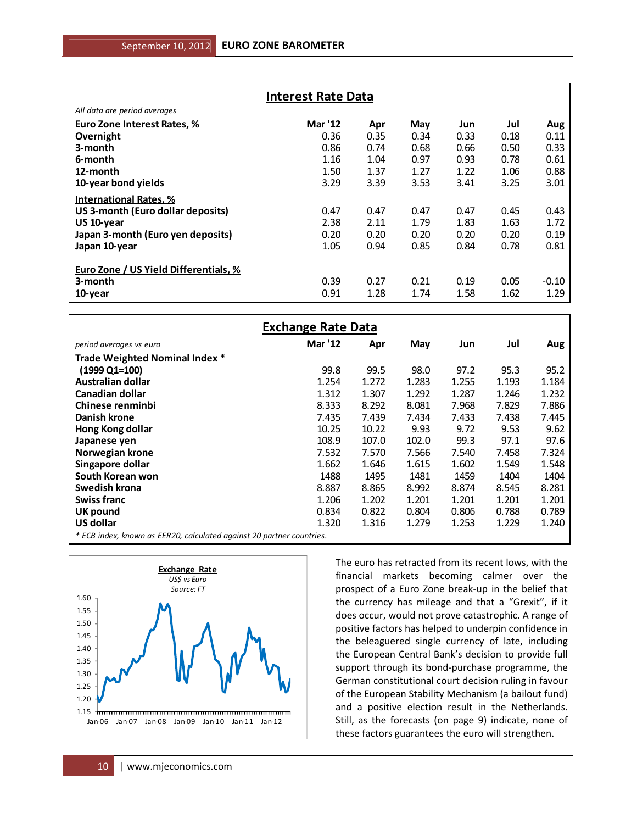| <b>Interest Rate Data</b>             |         |            |            |            |            |            |  |  |  |
|---------------------------------------|---------|------------|------------|------------|------------|------------|--|--|--|
| All data are period averages          |         |            |            |            |            |            |  |  |  |
| Euro Zone Interest Rates, %           | Mar '12 | <u>Apr</u> | <b>May</b> | <u>Jun</u> | <u>Jul</u> | <u>Aug</u> |  |  |  |
| Overnight                             | 0.36    | 0.35       | 0.34       | 0.33       | 0.18       | 0.11       |  |  |  |
| 3-month                               | 0.86    | 0.74       | 0.68       | 0.66       | 0.50       | 0.33       |  |  |  |
| 6-month                               | 1.16    | 1.04       | 0.97       | 0.93       | 0.78       | 0.61       |  |  |  |
| 12-month                              | 1.50    | 1.37       | 1.27       | 1.22       | 1.06       | 0.88       |  |  |  |
| 10-year bond yields                   | 3.29    | 3.39       | 3.53       | 3.41       | 3.25       | 3.01       |  |  |  |
| <b>International Rates, %</b>         |         |            |            |            |            |            |  |  |  |
| US 3-month (Euro dollar deposits)     | 0.47    | 0.47       | 0.47       | 0.47       | 0.45       | 0.43       |  |  |  |
| US 10-year                            | 2.38    | 2.11       | 1.79       | 1.83       | 1.63       | 1.72       |  |  |  |
| Japan 3-month (Euro yen deposits)     | 0.20    | 0.20       | 0.20       | 0.20       | 0.20       | 0.19       |  |  |  |
| Japan 10-year                         | 1.05    | 0.94       | 0.85       | 0.84       | 0.78       | 0.81       |  |  |  |
| Euro Zone / US Yield Differentials, % |         |            |            |            |            |            |  |  |  |
| 3-month                               | 0.39    | 0.27       | 0.21       | 0.19       | 0.05       | $-0.10$    |  |  |  |
| 10-year                               | 0.91    | 1.28       | 1.74       | 1.58       | 1.62       | 1.29       |  |  |  |

| <b>Exchange Rate Data</b>                                             |                |            |            |            |            |            |  |  |  |  |
|-----------------------------------------------------------------------|----------------|------------|------------|------------|------------|------------|--|--|--|--|
| period averages vs euro                                               | <b>Mar '12</b> | <u>Apr</u> | <b>May</b> | <u>Jun</u> | <u>Jul</u> | <b>Aug</b> |  |  |  |  |
| Trade Weighted Nominal Index *                                        |                |            |            |            |            |            |  |  |  |  |
| (1999 Q1=100)                                                         | 99.8           | 99.5       | 98.0       | 97.2       | 95.3       | 95.2       |  |  |  |  |
| <b>Australian dollar</b>                                              | 1.254          | 1.272      | 1.283      | 1.255      | 1.193      | 1.184      |  |  |  |  |
| Canadian dollar                                                       | 1.312          | 1.307      | 1.292      | 1.287      | 1.246      | 1.232      |  |  |  |  |
| Chinese renminbi                                                      | 8.333          | 8.292      | 8.081      | 7.968      | 7.829      | 7.886      |  |  |  |  |
| Danish krone                                                          | 7.435          | 7.439      | 7.434      | 7.433      | 7.438      | 7.445      |  |  |  |  |
| Hong Kong dollar                                                      | 10.25          | 10.22      | 9.93       | 9.72       | 9.53       | 9.62       |  |  |  |  |
| Japanese ven                                                          | 108.9          | 107.0      | 102.0      | 99.3       | 97.1       | 97.6       |  |  |  |  |
| Norwegian krone                                                       | 7.532          | 7.570      | 7.566      | 7.540      | 7.458      | 7.324      |  |  |  |  |
| Singapore dollar                                                      | 1.662          | 1.646      | 1.615      | 1.602      | 1.549      | 1.548      |  |  |  |  |
| South Korean won                                                      | 1488           | 1495       | 1481       | 1459       | 1404       | 1404       |  |  |  |  |
| Swedish krona                                                         | 8.887          | 8.865      | 8.992      | 8.874      | 8.545      | 8.281      |  |  |  |  |
| <b>Swiss franc</b>                                                    | 1.206          | 1.202      | 1.201      | 1.201      | 1.201      | 1.201      |  |  |  |  |
| UK pound                                                              | 0.834          | 0.822      | 0.804      | 0.806      | 0.788      | 0.789      |  |  |  |  |
| US dollar                                                             | 1.320          | 1.316      | 1.279      | 1.253      | 1.229      | 1.240      |  |  |  |  |
| * ECB index, known as EER20, calculated against 20 partner countries. |                |            |            |            |            |            |  |  |  |  |



The euro has retracted from its recent lows, with the financial markets becoming calmer over the prospect of a Euro Zone break-up in the belief that the currency has mileage and that a "Grexit", if it does occur, would not prove catastrophic. A range of positive factors has helped to underpin confidence in the beleaguered single currency of late, including the European Central Bank's decision to provide full support through its bond-purchase programme, the German constitutional court decision ruling in favour of the European Stability Mechanism (a bailout fund) and a positive election result in the Netherlands. Still, as the forecasts (on page 9) indicate, none of these factors guarantees the euro will strengthen.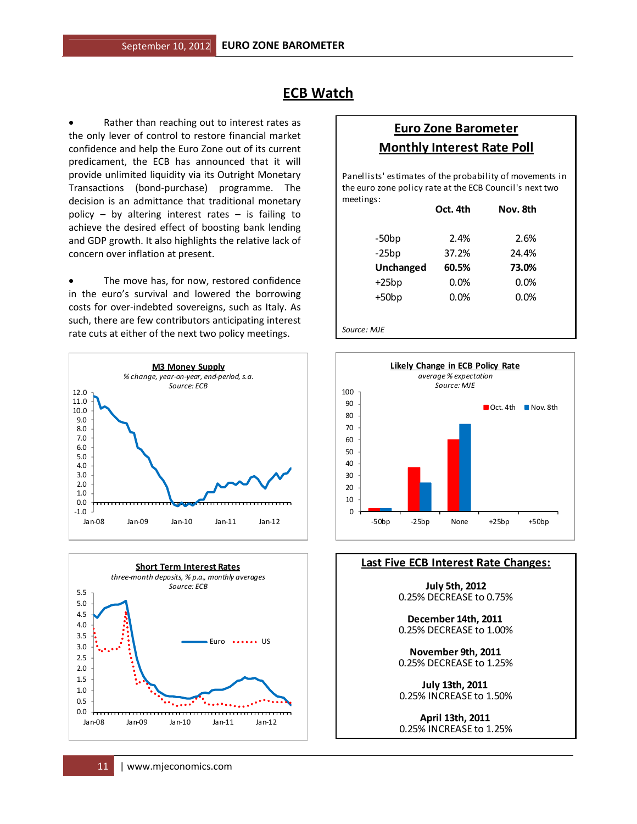# **ECB Watch**

Rather than reaching out to interest rates as the only lever of control to restore financial market confidence and help the Euro Zone out of its current predicament, the ECB has announced that it will provide unlimited liquidity via its Outright Monetary Transactions (bond-purchase) programme. The decision is an admittance that traditional monetary policy – by altering interest rates – is failing to achieve the desired effect of boosting bank lending and GDP growth. It also highlights the relative lack of concern over inflation at present.

• The move has, for now, restored confidence in the euro's survival and lowered the borrowing costs for over-indebted sovereigns, such as Italy. As such, there are few contributors anticipating interest rate cuts at either of the next two policy meetings.





# **Euro Zone Barometer Monthly Interest Rate Poll**

meetings: Panellists' estimates of the probability of movements in the euro zone policy rate at the ECB Council's next two

|             | Oct. 4th | Nov. 8th |  |
|-------------|----------|----------|--|
| $-50bp$     | 2.4%     | 2.6%     |  |
| $-25bp$     | 37.2%    | 24.4%    |  |
| Unchanged   | 60.5%    | 73.0%    |  |
| $+25bp$     | 0.0%     | 0.0%     |  |
| $+50bp$     | 0.0%     | 0.0%     |  |
|             |          |          |  |
| Source: MJE |          |          |  |



#### **Last Five ECB Interest Rate Changes:**

**July 5th, 2012** 0.25% DECREASE to 0.75%

**December 14th, 2011**  0.25% DECREASE to 1.00%

0.25% DECREASE to 1.25% **November 9th, 2011** 

0.25% INCREASE to 1.50% **July 13th, 2011** 

**April 13th, 2011**  0.25% INCREASE to 1.25%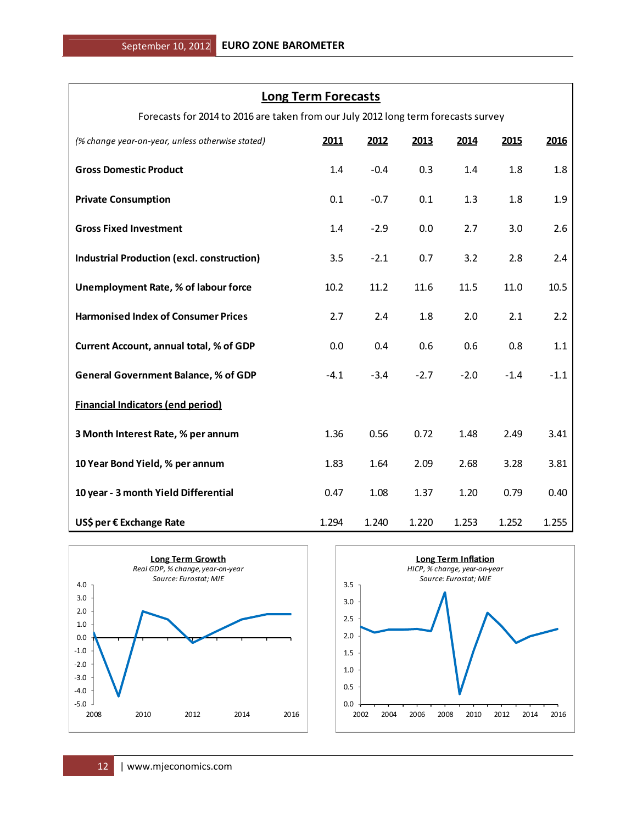### **Long Term Forecasts**

Forecasts for 2014 to 2016 are taken from our July 2012 long term forecasts survey

| (% change year-on-year, unless otherwise stated)  | 2011   | 2012   | 2013   | 2014   | 2015   | 2016   |
|---------------------------------------------------|--------|--------|--------|--------|--------|--------|
| <b>Gross Domestic Product</b>                     | 1.4    | $-0.4$ | 0.3    | 1.4    | 1.8    | 1.8    |
| <b>Private Consumption</b>                        | 0.1    | $-0.7$ | 0.1    | 1.3    | 1.8    | 1.9    |
| <b>Gross Fixed Investment</b>                     | 1.4    | $-2.9$ | 0.0    | 2.7    | 3.0    | 2.6    |
| <b>Industrial Production (excl. construction)</b> | 3.5    | $-2.1$ | 0.7    | 3.2    | 2.8    | 2.4    |
| Unemployment Rate, % of labour force              | 10.2   | 11.2   | 11.6   | 11.5   | 11.0   | 10.5   |
| <b>Harmonised Index of Consumer Prices</b>        | 2.7    | 2.4    | 1.8    | 2.0    | 2.1    | 2.2    |
| Current Account, annual total, % of GDP           | 0.0    | 0.4    | 0.6    | 0.6    | 0.8    | 1.1    |
| <b>General Government Balance, % of GDP</b>       | $-4.1$ | $-3.4$ | $-2.7$ | $-2.0$ | $-1.4$ | $-1.1$ |
| <b>Financial Indicators (end period)</b>          |        |        |        |        |        |        |
| 3 Month Interest Rate, % per annum                | 1.36   | 0.56   | 0.72   | 1.48   | 2.49   | 3.41   |
| 10 Year Bond Yield, % per annum                   | 1.83   | 1.64   | 2.09   | 2.68   | 3.28   | 3.81   |
| 10 year - 3 month Yield Differential              | 0.47   | 1.08   | 1.37   | 1.20   | 0.79   | 0.40   |
| US\$ per € Exchange Rate                          | 1.294  | 1.240  | 1.220  | 1.253  | 1.252  | 1.255  |



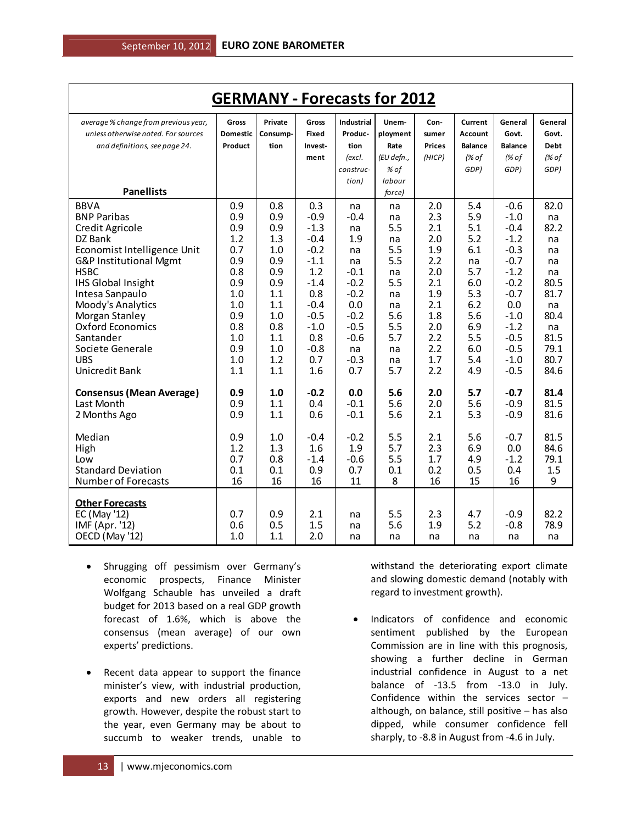| <b>GERMANY - Forecasts for 2012</b>                                                                                                                                                                                                                                                                                 |                                                                                                              |                                                                                                              |                                                                                                                                            |                                                                                                                                 |                                                                                                      |                                                                                                              |                                                                                                             |                                                                                                                                                           |                                                                                                                |
|---------------------------------------------------------------------------------------------------------------------------------------------------------------------------------------------------------------------------------------------------------------------------------------------------------------------|--------------------------------------------------------------------------------------------------------------|--------------------------------------------------------------------------------------------------------------|--------------------------------------------------------------------------------------------------------------------------------------------|---------------------------------------------------------------------------------------------------------------------------------|------------------------------------------------------------------------------------------------------|--------------------------------------------------------------------------------------------------------------|-------------------------------------------------------------------------------------------------------------|-----------------------------------------------------------------------------------------------------------------------------------------------------------|----------------------------------------------------------------------------------------------------------------|
| average % change from previous year,<br>unless otherwise noted. For sources<br>and definitions, see page 24.                                                                                                                                                                                                        | Gross<br><b>Domestic</b><br>Product                                                                          | Private<br>Consump-<br>tion                                                                                  | Gross<br><b>Fixed</b><br>Invest-<br>ment                                                                                                   | <b>Industrial</b><br>Produc-<br>tion<br>(excl.                                                                                  | Unem-<br>ployment<br>Rate<br>(EU defn.,                                                              | Con-<br>sumer<br><b>Prices</b><br>(HICP)                                                                     | Current<br>Account<br><b>Balance</b><br>(% of                                                               | General<br>Govt.<br><b>Balance</b><br>(% of                                                                                                               | General<br>Govt.<br><b>Debt</b><br>(% of                                                                       |
| <b>Panellists</b>                                                                                                                                                                                                                                                                                                   |                                                                                                              |                                                                                                              |                                                                                                                                            | construc-<br>tion)                                                                                                              | % of<br>labour<br>force)                                                                             |                                                                                                              | GDP)                                                                                                        | GDP)                                                                                                                                                      | GDP)                                                                                                           |
| <b>BBVA</b><br><b>BNP Paribas</b><br>Credit Agricole<br>DZ Bank<br>Economist Intelligence Unit<br>G&P Institutional Mgmt<br><b>HSBC</b><br><b>IHS Global Insight</b><br>Intesa Sanpaulo<br>Moody's Analytics<br>Morgan Stanley<br>Oxford Economics<br>Santander<br>Societe Generale<br><b>UBS</b><br>Unicredit Bank | 0.9<br>0.9<br>0.9<br>1.2<br>0.7<br>0.9<br>0.8<br>0.9<br>1.0<br>1.0<br>0.9<br>0.8<br>1.0<br>0.9<br>1.0<br>1.1 | 0.8<br>0.9<br>0.9<br>1.3<br>1.0<br>0.9<br>0.9<br>0.9<br>1.1<br>1.1<br>1.0<br>0.8<br>1.1<br>1.0<br>1.2<br>1.1 | 0.3<br>$-0.9$<br>$-1.3$<br>$-0.4$<br>$-0.2$<br>$-1.1$<br>1.2<br>$-1.4$<br>0.8<br>$-0.4$<br>$-0.5$<br>$-1.0$<br>0.8<br>$-0.8$<br>0.7<br>1.6 | na<br>$-0.4$<br>na<br>1.9<br>na<br>na<br>$-0.1$<br>$-0.2$<br>$-0.2$<br>0.0<br>$-0.2$<br>$-0.5$<br>$-0.6$<br>na<br>$-0.3$<br>0.7 | na<br>na<br>5.5<br>na<br>5.5<br>5.5<br>na<br>5.5<br>na<br>na<br>5.6<br>5.5<br>5.7<br>na<br>na<br>5.7 | 2.0<br>2.3<br>2.1<br>2.0<br>1.9<br>2.2<br>2.0<br>2.1<br>1.9<br>2.1<br>1.8<br>2.0<br>2.2<br>2.2<br>1.7<br>2.2 | 5.4<br>5.9<br>5.1<br>5.2<br>6.1<br>na<br>5.7<br>6.0<br>5.3<br>6.2<br>5.6<br>6.9<br>5.5<br>6.0<br>5.4<br>4.9 | $-0.6$<br>$-1.0$<br>$-0.4$<br>$-1.2$<br>$-0.3$<br>$-0.7$<br>$-1.2$<br>$-0.2$<br>$-0.7$<br>0.0<br>$-1.0$<br>$-1.2$<br>$-0.5$<br>$-0.5$<br>$-1.0$<br>$-0.5$ | 82.0<br>na<br>82.2<br>na<br>na<br>na<br>na<br>80.5<br>81.7<br>na<br>80.4<br>na<br>81.5<br>79.1<br>80.7<br>84.6 |
| <b>Consensus (Mean Average)</b><br>Last Month<br>2 Months Ago<br>Median<br>High                                                                                                                                                                                                                                     | 0.9<br>0.9<br>0.9<br>0.9<br>1.2                                                                              | 1.0<br>1.1<br>1.1<br>1.0<br>1.3                                                                              | $-0.2$<br>0.4<br>0.6<br>$-0.4$<br>1.6                                                                                                      | 0.0<br>$-0.1$<br>$-0.1$<br>$-0.2$<br>1.9                                                                                        | 5.6<br>5.6<br>5.6<br>5.5<br>5.7                                                                      | 2.0<br>2.0<br>2.1<br>2.1<br>2.3                                                                              | 5.7<br>5.6<br>5.3<br>5.6<br>6.9                                                                             | $-0.7$<br>$-0.9$<br>$-0.9$<br>$-0.7$<br>0.0                                                                                                               | 81.4<br>81.5<br>81.6<br>81.5<br>84.6                                                                           |
| Low<br><b>Standard Deviation</b><br><b>Number of Forecasts</b>                                                                                                                                                                                                                                                      | 0.7<br>0.1<br>16                                                                                             | 0.8<br>0.1<br>16                                                                                             | $-1.4$<br>0.9<br>16                                                                                                                        | $-0.6$<br>0.7<br>11                                                                                                             | 5.5<br>0.1<br>8                                                                                      | 1.7<br>0.2<br>16                                                                                             | 4.9<br>0.5<br>15                                                                                            | $-1.2$<br>0.4<br>16                                                                                                                                       | 79.1<br>1.5<br>9                                                                                               |
| <b>Other Forecasts</b><br>EC (May '12)<br>IMF (Apr. '12)<br>OECD (May '12)                                                                                                                                                                                                                                          | 0.7<br>0.6<br>1.0                                                                                            | 0.9<br>0.5<br>1.1                                                                                            | 2.1<br>1.5<br>2.0                                                                                                                          | na<br>na<br>na                                                                                                                  | 5.5<br>5.6<br>na                                                                                     | 2.3<br>1.9<br>na                                                                                             | 4.7<br>5.2<br>na                                                                                            | $-0.9$<br>$-0.8$<br>na                                                                                                                                    | 82.2<br>78.9<br>na                                                                                             |

- Shrugging off pessimism over Germany's economic prospects, Finance Minister Wolfgang Schauble has unveiled a draft budget for 2013 based on a real GDP growth forecast of 1.6%, which is above the consensus (mean average) of our own experts' predictions.
- Recent data appear to support the finance minister's view, with industrial production, exports and new orders all registering growth. However, despite the robust start to the year, even Germany may be about to succumb to weaker trends, unable to

withstand the deteriorating export climate and slowing domestic demand (notably with regard to investment growth).

• Indicators of confidence and economic sentiment published by the European Commission are in line with this prognosis, showing a further decline in German industrial confidence in August to a net balance of -13.5 from -13.0 in July. Confidence within the services sector – although, on balance, still positive – has also dipped, while consumer confidence fell sharply, to -8.8 in August from -4.6 in July.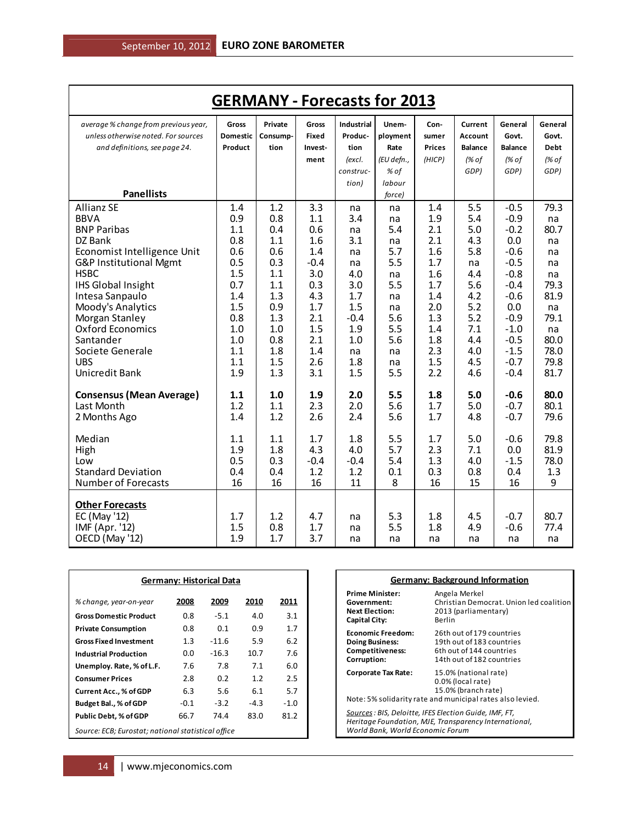| <b>GERMANY - Forecasts for 2013</b>      |              |            |              |                   |            |               |                |                  |             |
|------------------------------------------|--------------|------------|--------------|-------------------|------------|---------------|----------------|------------------|-------------|
| average % change from previous year,     | <b>Gross</b> | Private    | Gross        | <b>Industrial</b> | Unem-      | Con-          | Current        | General          | General     |
| unless otherwise noted. For sources      | Domestic     | Consump-   | <b>Fixed</b> | Produc-           | ployment   | sumer         | Account        | Govt.            | Govt.       |
| and definitions, see page 24.            | Product      | tion       | Invest-      | tion              | Rate       | <b>Prices</b> | <b>Balance</b> | <b>Balance</b>   | <b>Debt</b> |
|                                          |              |            | ment         | (excl.            | (EU defn., | (HICP)        | (% of          | (% of            | (% of       |
|                                          |              |            |              | construc-         | % of       |               | GDP)           | GDP)             | GDP)        |
|                                          |              |            |              | tion)             | labour     |               |                |                  |             |
| <b>Panellists</b>                        |              |            |              |                   | force)     |               |                |                  |             |
| <b>Allianz SE</b>                        | 1.4          | 1.2        | 3.3          | na                | na         | 1.4           | 5.5            | $-0.5$           | 79.3        |
| <b>BBVA</b>                              | 0.9          | 0.8        | 1.1          | 3.4               | na         | 1.9           | 5.4            | $-0.9$           | na          |
| <b>BNP Paribas</b>                       | 1.1          | 0.4        | 0.6          | na                | 5.4        | 2.1           | 5.0            | $-0.2$           | 80.7        |
| DZ Bank                                  | 0.8          | 1.1        | 1.6          | 3.1               | na         | 2.1           | 4.3            | 0.0              | na          |
| Economist Intelligence Unit              | 0.6          | 0.6        | 1.4          | na                | 5.7        | 1.6           | 5.8            | $-0.6$           | na          |
| G&P Institutional Mgmt                   | 0.5          | 0.3        | $-0.4$       | na                | 5.5        | 1.7           | na             | $-0.5$           | na          |
| <b>HSBC</b><br><b>IHS Global Insight</b> | 1.5<br>0.7   | 1.1<br>1.1 | 3.0<br>0.3   | 4.0<br>3.0        | na<br>5.5  | 1.6<br>1.7    | 4.4<br>5.6     | $-0.8$<br>$-0.4$ | na<br>79.3  |
| Intesa Sanpaulo                          | 1.4          | 1.3        | 4.3          | 1.7               | na         | 1.4           | 4.2            | $-0.6$           | 81.9        |
| Moody's Analytics                        | 1.5          | 0.9        | 1.7          | 1.5               | na         | 2.0           | 5.2            | 0.0              | na          |
| Morgan Stanley                           | 0.8          | 1.3        | 2.1          | $-0.4$            | 5.6        | 1.3           | 5.2            | $-0.9$           | 79.1        |
| <b>Oxford Economics</b>                  | 1.0          | 1.0        | 1.5          | 1.9               | 5.5        | 1.4           | 7.1            | $-1.0$           | na          |
| Santander                                | 1.0          | 0.8        | 2.1          | 1.0               | 5.6        | 1.8           | 4.4            | $-0.5$           | 80.0        |
| Societe Generale                         | 1.1          | 1.8        | 1.4          | na                | na         | 2.3           | 4.0            | $-1.5$           | 78.0        |
| <b>UBS</b>                               | 1.1          | 1.5        | 2.6          | 1.8               | na         | 1.5           | 4.5            | $-0.7$           | 79.8        |
| Unicredit Bank                           | 1.9          | 1.3        | 3.1          | 1.5               | 5.5        | 2.2           | 4.6            | $-0.4$           | 81.7        |
| <b>Consensus (Mean Average)</b>          | 1.1          | 1.0        | 1.9          | 2.0               | 5.5        | 1.8           | 5.0            | $-0.6$           | 80.0        |
| Last Month                               | 1.2          | 1.1        | 2.3          | 2.0               | 5.6        | 1.7           | 5.0            | $-0.7$           | 80.1        |
| 2 Months Ago                             | 1.4          | 1.2        | 2.6          | 2.4               | 5.6        | 1.7           | 4.8            | $-0.7$           | 79.6        |
| Median                                   | 1.1          | 1.1        | 1.7          | 1.8               | 5.5        | 1.7           | 5.0            | $-0.6$           | 79.8        |
| High                                     | 1.9          | 1.8        | 4.3          | 4.0               | 5.7        | 2.3           | 7.1            | 0.0              | 81.9        |
| Low                                      | 0.5          | 0.3        | $-0.4$       | $-0.4$            | 5.4        | 1.3           | 4.0            | $-1.5$           | 78.0        |
| <b>Standard Deviation</b>                | 0.4          | 0.4        | 1.2          | 1.2               | 0.1        | 0.3           | 0.8            | 0.4              | 1.3         |
| Number of Forecasts                      | 16           | 16         | 16           | 11                | 8          | 16            | 15             | 16               | 9           |
| <b>Other Forecasts</b>                   |              |            |              |                   |            |               |                |                  |             |
| EC (May '12)                             | 1.7          | 1.2        | 4.7          | na                | 5.3        | 1.8           | 4.5            | $-0.7$           | 80.7        |
| IMF (Apr. '12)                           | 1.5          | 0.8        | 1.7          | na                | 5.5        | 1.8           | 4.9            | $-0.6$           | 77.4        |
| OECD (May '12)                           | 1.9          | 1.7        | 3.7          | na                | na         | na            | na             | na               | na          |

| <b>Germany: Historical Data</b>                    |      |         |        |        |  |  |  |  |  |  |
|----------------------------------------------------|------|---------|--------|--------|--|--|--|--|--|--|
| % change, year-on-year                             | 2008 | 2009    | 2010   | 2011   |  |  |  |  |  |  |
| <b>Gross Domestic Product</b>                      | 0.8  | $-5.1$  | 4.0    | 3.1    |  |  |  |  |  |  |
| <b>Private Consumption</b>                         | 0.8  | 0.1     | 0.9    | 1.7    |  |  |  |  |  |  |
| <b>Gross Fixed Investment</b>                      | 1.3  | $-11.6$ | 5.9    | 6.2    |  |  |  |  |  |  |
| <b>Industrial Production</b>                       | 0.0  | $-16.3$ | 10.7   | 7.6    |  |  |  |  |  |  |
| Unemploy. Rate, % of L.F.                          | 7.6  | 7.8     | 7.1    | 6.0    |  |  |  |  |  |  |
| <b>Consumer Prices</b>                             | 2.8  | 0.2     | 1.2    | 2.5    |  |  |  |  |  |  |
| <b>Current Acc., % of GDP</b>                      | 6.3  | 5.6     | 6.1    | 5.7    |  |  |  |  |  |  |
| Budget Bal., % of GDP                              | -0.1 | $-3.2$  | $-4.3$ | $-1.0$ |  |  |  |  |  |  |
| <b>Public Debt, % of GDP</b>                       | 66.7 | 74.4    | 83.0   | 81.2   |  |  |  |  |  |  |
| Source: ECB; Eurostat; national statistical office |      |         |        |        |  |  |  |  |  |  |

| <b>Germany: Background Information</b>                                                                                                              |                                                                                                                                |  |  |  |  |  |  |
|-----------------------------------------------------------------------------------------------------------------------------------------------------|--------------------------------------------------------------------------------------------------------------------------------|--|--|--|--|--|--|
| <b>Prime Minister:</b><br>Government:<br><b>Next Election:</b><br><b>Capital City:</b>                                                              | Angela Merkel<br>Christian Democrat. Union led coalition<br>2013 (parliamentary)<br>Berlin                                     |  |  |  |  |  |  |
| <b>Economic Freedom:</b><br><b>Doing Business:</b><br>Competitiveness:<br>Corruption:                                                               | 26th out of 179 countries<br>19th out of 183 countries<br>6th out of 144 countries<br>14th out of 182 countries                |  |  |  |  |  |  |
| Corporate Tax Rate:                                                                                                                                 | 15.0% (national rate)<br>0.0% (local rate)<br>15.0% (branch rate)<br>Note: 5% solidarity rate and municipal rates also levied. |  |  |  |  |  |  |
| Sources : BIS, Deloitte, IFES Election Guide, IMF, FT,<br>Heritage Foundation, MJE, Transparency International,<br>World Bank, World Economic Forum |                                                                                                                                |  |  |  |  |  |  |

T.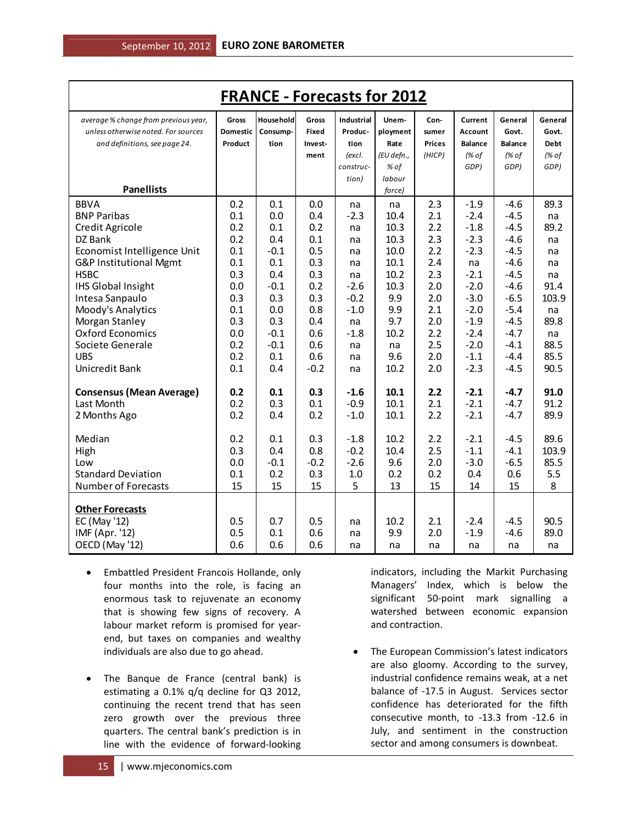| <b>FRANCE - Forecasts for 2012</b>   |                 |           |              |                   |            |               |                |                |         |
|--------------------------------------|-----------------|-----------|--------------|-------------------|------------|---------------|----------------|----------------|---------|
| average % change from previous year, | <b>Gross</b>    | Household | <b>Gross</b> | <b>Industrial</b> | Unem-      | Con-          | Current        | General        | General |
| unless otherwise noted. For sources  | <b>Domestic</b> | Consump-  | <b>Fixed</b> | Produc-           | ployment   | sumer         | Account        | Govt.          | Govt.   |
| and definitions, see page 24.        | Product         | tion      | Invest-      | tion              | Rate       | <b>Prices</b> | <b>Balance</b> | <b>Balance</b> | Debt    |
|                                      |                 |           | ment         | (excl.            | (EU defn., | (HICP)        | (% of          | (% of          | (% of   |
|                                      |                 |           |              | construc-         | % of       |               | GDP)           | GDP)           | GDP)    |
| <b>Panellists</b>                    |                 |           |              | tion)             | labour     |               |                |                |         |
|                                      |                 |           |              |                   | force)     |               |                |                |         |
| <b>BBVA</b>                          | 0.2             | 0.1       | 0.0          | na                | na         | 2.3           | $-1.9$         | $-4.6$         | 89.3    |
| <b>BNP Paribas</b>                   | 0.1             | 0.0       | 0.4          | $-2.3$            | 10.4       | 2.1           | $-2.4$         | $-4.5$         | na      |
| Credit Agricole                      | 0.2             | 0.1       | 0.2          | na                | 10.3       | 2.2           | $-1.8$         | $-4.5$         | 89.2    |
| DZ Bank                              | 0.2             | 0.4       | 0.1          | na                | 10.3       | 2.3           | $-2.3$         | $-4.6$         | na      |
| Economist Intelligence Unit          | 0.1             | $-0.1$    | 0.5          | na                | 10.0       | 2.2           | $-2.3$         | $-4.5$         | na      |
| G&P Institutional Mgmt               | 0.1             | 0.1       | 0.3          | na                | 10.1       | 2.4           | na             | $-4.6$         | na      |
| <b>HSBC</b>                          | 0.3             | 0.4       | 0.3          | na                | 10.2       | 2.3           | $-2.1$         | $-4.5$         | na      |
| <b>IHS Global Insight</b>            | 0.0             | $-0.1$    | 0.2          | $-2.6$            | 10.3       | 2.0           | $-2.0$         | $-4.6$         | 91.4    |
| Intesa Sanpaulo                      | 0.3             | 0.3       | 0.3          | $-0.2$            | 9.9        | 2.0           | $-3.0$         | $-6.5$         | 103.9   |
| Moody's Analytics                    | 0.1             | 0.0       | 0.8          | $-1.0$            | 9.9        | 2.1           | $-2.0$         | $-5.4$         | na      |
| Morgan Stanley                       | 0.3             | 0.3       | 0.4          | na                | 9.7        | 2.0           | $-1.9$         | $-4.5$         | 89.8    |
| <b>Oxford Economics</b>              | 0.0             | $-0.1$    | 0.6          | $-1.8$            | 10.2       | 2.2           | $-2.4$         | $-4.7$         | na      |
| Societe Generale                     | 0.2             | $-0.1$    | 0.6          | na                | na         | 2.5           | $-2.0$         | $-4.1$         | 88.5    |
| <b>UBS</b>                           | 0.2             | 0.1       | 0.6          | na                | 9.6        | 2.0           | $-1.1$         | $-4.4$         | 85.5    |
| Unicredit Bank                       | 0.1             | 0.4       | $-0.2$       | na                | 10.2       | 2.0           | $-2.3$         | $-4.5$         | 90.5    |
| <b>Consensus (Mean Average)</b>      | 0.2             | 0.1       | 0.3          | $-1.6$            | 10.1       | 2.2           | $-2.1$         | $-4.7$         | 91.0    |
| Last Month                           | 0.2             | 0.3       | 0.1          | $-0.9$            | 10.1       | 2.1           | $-2.1$         | $-4.7$         | 91.2    |
| 2 Months Ago                         | 0.2             | 0.4       | 0.2          | $-1.0$            | 10.1       | 2.2           | $-2.1$         | $-4.7$         | 89.9    |
|                                      |                 |           |              |                   |            |               |                |                |         |
| Median                               | 0.2             | 0.1       | 0.3          | $-1.8$            | 10.2       | 2.2           | $-2.1$         | $-4.5$         | 89.6    |
| High                                 | 0.3             | 0.4       | 0.8          | $-0.2$            | 10.4       | 2.5           | $-1.1$         | $-4.1$         | 103.9   |
| Low                                  | 0.0             | $-0.1$    | $-0.2$       | $-2.6$            | 9.6        | 2.0           | $-3.0$         | $-6.5$         | 85.5    |
| <b>Standard Deviation</b>            | 0.1             | 0.2       | 0.3          | 1.0               | 0.2        | 0.2           | 0.4            | 0.6            | 5.5     |
| <b>Number of Forecasts</b>           | 15              | 15        | 15           | 5                 | 13         | 15            | 14             | 15             | 8       |
| <b>Other Forecasts</b>               |                 |           |              |                   |            |               |                |                |         |
| EC (May '12)                         | 0.5             | 0.7       | 0.5          | na                | 10.2       | 2.1           | $-2.4$         | $-4.5$         | 90.5    |
| IMF (Apr. '12)                       | 0.5             | 0.1       | 0.6          | na                | 9.9        | 2.0           | $-1.9$         | $-4.6$         | 89.0    |
| OECD (May '12)                       | 0.6             | 0.6       | 0.6          | na                | na         | na            | na             | na             | na      |
|                                      |                 |           |              |                   |            |               |                |                |         |

- Embattled President Francois Hollande, only four months into the role, is facing an enormous task to rejuvenate an economy that is showing few signs of recovery. A labour market reform is promised for yearend, but taxes on companies and wealthy individuals are also due to go ahead.
- The Banque de France (central bank) is estimating a 0.1% q/q decline for Q3 2012, continuing the recent trend that has seen zero growth over the previous three quarters. The central bank's prediction is in line with the evidence of forward-looking

indicators, including the Markit Purchasing Managers' Index, which is below the significant 50-point mark signalling a watershed between economic expansion and contraction.

• The European Commission's latest indicators are also gloomy. According to the survey, industrial confidence remains weak, at a net balance of -17.5 in August. Services sector confidence has deteriorated for the fifth consecutive month, to -13.3 from -12.6 in July, and sentiment in the construction sector and among consumers is downbeat.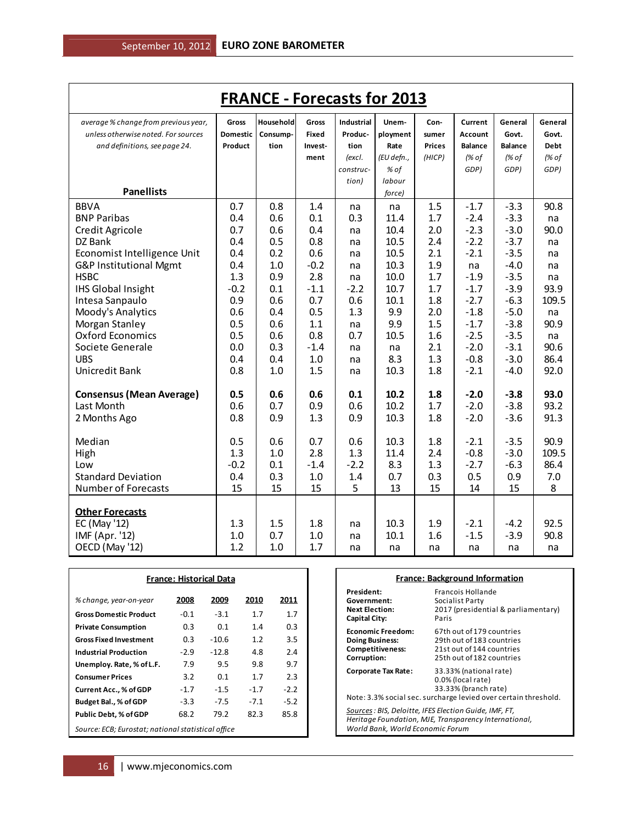| <b>FRANCE - Forecasts for 2013</b>   |              |           |              |                   |            |               |                |                |             |
|--------------------------------------|--------------|-----------|--------------|-------------------|------------|---------------|----------------|----------------|-------------|
| average % change from previous year, | <b>Gross</b> | Household | <b>Gross</b> | <b>Industrial</b> | Unem-      | Con-          | Current        | General        | General     |
| unless otherwise noted. For sources  | Domestic     | Consump-  | Fixed        | Produc-           | ployment   | sumer         | Account        | Govt.          | Govt.       |
| and definitions, see page 24.        | Product      | tion      | Invest-      | tion              | Rate       | <b>Prices</b> | <b>Balance</b> | <b>Balance</b> | <b>Debt</b> |
|                                      |              |           | ment         | (excl.            | (EU defn., | (HICP)        | (% of          | (% of          | (% of       |
|                                      |              |           |              | construc-         | % of       |               | GDP)           | GDP)           | GDP)        |
|                                      |              |           |              | tion)             | labour     |               |                |                |             |
| <b>Panellists</b>                    |              |           |              |                   | force)     |               |                |                |             |
| <b>BBVA</b>                          | 0.7          | 0.8       | 1.4          | na                | na         | 1.5           | $-1.7$         | $-3.3$         | 90.8        |
| <b>BNP Paribas</b>                   | 0.4          | 0.6       | 0.1          | 0.3               | 11.4       | 1.7           | $-2.4$         | $-3.3$         | na          |
| Credit Agricole                      | 0.7          | 0.6       | 0.4          | na                | 10.4       | 2.0           | $-2.3$         | $-3.0$         | 90.0        |
| DZ Bank                              | 0.4          | 0.5       | 0.8          | na                | 10.5       | 2.4           | $-2.2$         | $-3.7$         | na          |
| Economist Intelligence Unit          | 0.4          | 0.2       | 0.6          | na                | 10.5       | 2.1           | $-2.1$         | $-3.5$         | na          |
| G&P Institutional Mgmt               | 0.4          | 1.0       | $-0.2$       | na                | 10.3       | 1.9           | na             | $-4.0$         | na          |
| <b>HSBC</b>                          | 1.3          | 0.9       | 2.8          | na                | 10.0       | 1.7           | $-1.9$         | $-3.5$         | na          |
| <b>IHS Global Insight</b>            | $-0.2$       | 0.1       | $-1.1$       | $-2.2$            | 10.7       | 1.7           | $-1.7$         | $-3.9$         | 93.9        |
| Intesa Sanpaulo                      | 0.9          | 0.6       | 0.7          | 0.6               | 10.1       | 1.8           | $-2.7$         | $-6.3$         | 109.5       |
| Moody's Analytics                    | 0.6          | 0.4       | 0.5          | 1.3               | 9.9        | 2.0           | $-1.8$         | $-5.0$         | na          |
| Morgan Stanley                       | 0.5          | 0.6       | 1.1          | na                | 9.9        | 1.5           | $-1.7$         | $-3.8$         | 90.9        |
| <b>Oxford Economics</b>              | 0.5          | 0.6       | 0.8          | 0.7               | 10.5       | 1.6           | $-2.5$         | $-3.5$         | na          |
| Societe Generale                     | 0.0          | 0.3       | $-1.4$       | na                | na         | 2.1           | $-2.0$         | $-3.1$         | 90.6        |
| <b>UBS</b>                           | 0.4          | 0.4       | 1.0          | na                | 8.3        | 1.3           | $-0.8$         | $-3.0$         | 86.4        |
| Unicredit Bank                       | 0.8          | 1.0       | 1.5          | na                | 10.3       | 1.8           | $-2.1$         | $-4.0$         | 92.0        |
| <b>Consensus (Mean Average)</b>      | 0.5          | 0.6       | 0.6          | 0.1               | 10.2       | 1.8           | $-2.0$         | $-3.8$         | 93.0        |
| Last Month                           | 0.6          | 0.7       | 0.9          | 0.6               | 10.2       | 1.7           | $-2.0$         | $-3.8$         | 93.2        |
| 2 Months Ago                         | 0.8          | 0.9       | 1.3          | 0.9               | 10.3       | 1.8           | $-2.0$         | $-3.6$         | 91.3        |
|                                      |              |           |              |                   |            |               |                |                |             |
| Median                               | 0.5          | 0.6       | 0.7          | 0.6               | 10.3       | 1.8           | $-2.1$         | $-3.5$         | 90.9        |
| High                                 | 1.3          | 1.0       | 2.8          | 1.3               | 11.4       | 2.4           | $-0.8$         | $-3.0$         | 109.5       |
| Low                                  | $-0.2$       | 0.1       | $-1.4$       | $-2.2$            | 8.3        | 1.3           | $-2.7$         | $-6.3$         | 86.4        |
| <b>Standard Deviation</b>            | 0.4          | 0.3       | 1.0          | 1.4               | 0.7        | 0.3           | 0.5            | 0.9            | 7.0         |
| <b>Number of Forecasts</b>           | 15           | 15        | 15           | 5                 | 13         | 15            | 14             | 15             | 8           |
|                                      |              |           |              |                   |            |               |                |                |             |
| <b>Other Forecasts</b>               |              |           |              |                   |            |               |                |                |             |
| EC (May '12)                         | 1.3          | 1.5       | 1.8          | na                | 10.3       | 1.9           | $-2.1$         | $-4.2$         | 92.5        |
| IMF (Apr. '12)                       | 1.0          | 0.7       | 1.0          | na                | 10.1       | 1.6           | $-1.5$         | $-3.9$         | 90.8        |
| OECD (May '12)                       | 1.2          | 1.0       | 1.7          | na                | na         | na            | na             | na             | na          |

| <b>France: Historical Data</b>                     |        |         |        |        |  |  |  |  |  |  |
|----------------------------------------------------|--------|---------|--------|--------|--|--|--|--|--|--|
| % change, year-on-year                             | 2008   | 2009    | 2010   | 2011   |  |  |  |  |  |  |
| <b>Gross Domestic Product</b>                      | -0.1   | $-3.1$  | 1.7    | 1.7    |  |  |  |  |  |  |
| <b>Private Consumption</b>                         | 0.3    | 0.1     | 1.4    | 0.3    |  |  |  |  |  |  |
| <b>Gross Fixed Investment</b>                      | 0.3    | $-10.6$ | 1.2    | 3.5    |  |  |  |  |  |  |
| <b>Industrial Production</b>                       | $-2.9$ | $-12.8$ | 4.8    | 2.4    |  |  |  |  |  |  |
| Unemploy. Rate, % of L.F.                          | 7.9    | 9.5     | 9.8    | 9.7    |  |  |  |  |  |  |
| <b>Consumer Prices</b>                             | 3.2    | 0.1     | 1.7    | 2.3    |  |  |  |  |  |  |
| <b>Current Acc., % of GDP</b>                      | $-1.7$ | $-1.5$  | $-1.7$ | $-2.2$ |  |  |  |  |  |  |
| Budget Bal., % of GDP                              | $-3.3$ | $-7.5$  | $-7.1$ | $-5.2$ |  |  |  |  |  |  |
| Public Debt, % of GDP                              | 68.2   | 79.2    | 82.3   | 85.8   |  |  |  |  |  |  |
| Source: ECB; Eurostat; national statistical office |        |         |        |        |  |  |  |  |  |  |

|                                                                                                                                                     | <b>France: Background Information</b>                                                                                                  |  |  |  |  |  |  |  |
|-----------------------------------------------------------------------------------------------------------------------------------------------------|----------------------------------------------------------------------------------------------------------------------------------------|--|--|--|--|--|--|--|
| President:<br>Government:<br><b>Next Flection:</b><br><b>Capital City:</b>                                                                          | Francois Hollande<br>Socialist Party<br>2017 (presidential & parliamentary)<br>Paris                                                   |  |  |  |  |  |  |  |
| <b>Economic Freedom:</b><br><b>Doing Business:</b><br>Competitiveness:<br>Corruption:                                                               | 67th out of 179 countries<br>29th out of 183 countries<br>21st out of 144 countries<br>25th out of 182 countries                       |  |  |  |  |  |  |  |
| Corporate Tax Rate:                                                                                                                                 | 33.33% (national rate)<br>0.0% (local rate)<br>33.33% (branch rate)<br>Note: 3.3% social sec. surcharge levied over certain threshold. |  |  |  |  |  |  |  |
| Sources : BIS, Deloitte, IFES Election Guide, IMF, FT,<br>Heritage Foundation, MJE, Transparency International,<br>World Bank. World Economic Forum |                                                                                                                                        |  |  |  |  |  |  |  |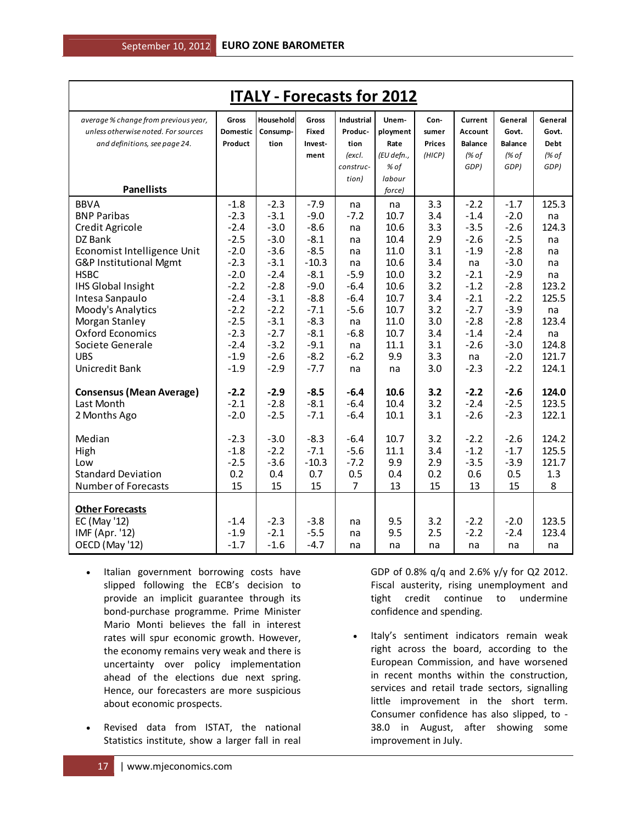| <b>ITALY - Forecasts for 2012</b>    |          |           |              |            |            |        |                |                |         |
|--------------------------------------|----------|-----------|--------------|------------|------------|--------|----------------|----------------|---------|
| average % change from previous year, | Gross    | Household | Gross        | Industrial | Unem-      | Con-   | Current        | General        | General |
| unless otherwise noted. For sources  | Domestic | Consump-  | <b>Fixed</b> | Produc-    | ployment   | sumer  | Account        | Govt.          | Govt.   |
| and definitions, see page 24.        | Product  | tion      | Invest-      | tion       | Rate       | Prices | <b>Balance</b> | <b>Balance</b> | Debt    |
|                                      |          |           | ment         | (excl.     | (EU defn., | (HICP) | (% of          | (% of          | (% of   |
|                                      |          |           |              | construc-  | % of       |        | GDP)           | GDP)           | GDP)    |
|                                      |          |           |              | tion)      | labour     |        |                |                |         |
| <b>Panellists</b>                    |          |           |              |            | force)     |        |                |                |         |
| <b>BBVA</b>                          | $-1.8$   | $-2.3$    | $-7.9$       | na         | na         | 3.3    | $-2.2$         | $-1.7$         | 125.3   |
| <b>BNP Paribas</b>                   | $-2.3$   | $-3.1$    | $-9.0$       | $-7.2$     | 10.7       | 3.4    | $-1.4$         | $-2.0$         | na      |
| Credit Agricole                      | $-2.4$   | $-3.0$    | $-8.6$       | na         | 10.6       | 3.3    | $-3.5$         | $-2.6$         | 124.3   |
| DZ Bank                              | $-2.5$   | $-3.0$    | $-8.1$       | na         | 10.4       | 2.9    | $-2.6$         | $-2.5$         | na      |
| Economist Intelligence Unit          | $-2.0$   | $-3.6$    | $-8.5$       | na         | 11.0       | 3.1    | $-1.9$         | $-2.8$         | na      |
| G&P Institutional Mgmt               | $-2.3$   | $-3.1$    | $-10.3$      | na         | 10.6       | 3.4    | na             | $-3.0$         | na      |
| <b>HSBC</b>                          | $-2.0$   | $-2.4$    | $-8.1$       | $-5.9$     | 10.0       | 3.2    | $-2.1$         | $-2.9$         | na      |
| <b>IHS Global Insight</b>            | $-2.2$   | $-2.8$    | $-9.0$       | $-6.4$     | 10.6       | 3.2    | $-1.2$         | $-2.8$         | 123.2   |
| Intesa Sanpaulo                      | $-2.4$   | $-3.1$    | $-8.8$       | $-6.4$     | 10.7       | 3.4    | $-2.1$         | $-2.2$         | 125.5   |
| Moody's Analytics                    | $-2.2$   | $-2.2$    | $-7.1$       | $-5.6$     | 10.7       | 3.2    | $-2.7$         | $-3.9$         | na      |
| Morgan Stanley                       | $-2.5$   | $-3.1$    | $-8.3$       | na         | 11.0       | 3.0    | $-2.8$         | $-2.8$         | 123.4   |
| <b>Oxford Economics</b>              | $-2.3$   | $-2.7$    | $-8.1$       | $-6.8$     | 10.7       | 3.4    | $-1.4$         | $-2.4$         | na      |
| Societe Generale                     | $-2.4$   | $-3.2$    | $-9.1$       | na         | 11.1       | 3.1    | $-2.6$         | $-3.0$         | 124.8   |
| <b>UBS</b>                           | $-1.9$   | $-2.6$    | $-8.2$       | $-6.2$     | 9.9        | 3.3    | na             | $-2.0$         | 121.7   |
| Unicredit Bank                       | $-1.9$   | $-2.9$    | $-7.7$       | na         | na         | 3.0    | $-2.3$         | $-2.2$         | 124.1   |
| <b>Consensus (Mean Average)</b>      | $-2.2$   | $-2.9$    | $-8.5$       | $-6.4$     | 10.6       | 3.2    | $-2.2$         | $-2.6$         | 124.0   |
| Last Month                           | $-2.1$   | $-2.8$    | $-8.1$       | $-6.4$     | 10.4       | 3.2    | $-2.4$         | $-2.5$         | 123.5   |
| 2 Months Ago                         | $-2.0$   | $-2.5$    | $-7.1$       | $-6.4$     | 10.1       | 3.1    | $-2.6$         | $-2.3$         | 122.1   |
| Median                               | $-2.3$   | $-3.0$    | $-8.3$       | $-6.4$     | 10.7       | 3.2    | $-2.2$         | $-2.6$         | 124.2   |
| High                                 | $-1.8$   | $-2.2$    | $-7.1$       | $-5.6$     | 11.1       | 3.4    | $-1.2$         | $-1.7$         | 125.5   |
| Low                                  | $-2.5$   | $-3.6$    | $-10.3$      | $-7.2$     | 9.9        | 2.9    | $-3.5$         | $-3.9$         | 121.7   |
| <b>Standard Deviation</b>            | 0.2      | 0.4       | 0.7          | 0.5        | 0.4        | 0.2    | 0.6            | 0.5            | 1.3     |
| Number of Forecasts                  | 15       | 15        | 15           | 7          | 13         | 15     | 13             | 15             | 8       |
|                                      |          |           |              |            |            |        |                |                |         |
| <b>Other Forecasts</b>               |          |           |              |            |            |        |                |                |         |
| EC (May '12)                         | $-1.4$   | $-2.3$    | $-3.8$       | na         | 9.5        | 3.2    | $-2.2$         | $-2.0$         | 123.5   |
| IMF (Apr. '12)                       | $-1.9$   | $-2.1$    | $-5.5$       | na         | 9.5        | 2.5    | $-2.2$         | $-2.4$         | 123.4   |
| OECD (May '12)                       | $-1.7$   | $-1.6$    | $-4.7$       | na         | na         | na     | na             | na             | na      |

- Italian government borrowing costs have slipped following the ECB's decision to provide an implicit guarantee through its bond-purchase programme. Prime Minister Mario Monti believes the fall in interest rates will spur economic growth. However, the economy remains very weak and there is uncertainty over policy implementation ahead of the elections due next spring. Hence, our forecasters are more suspicious about economic prospects.
- Revised data from ISTAT, the national Statistics institute, show a larger fall in real

GDP of 0.8% q/q and 2.6% y/y for Q2 2012. Fiscal austerity, rising unemployment and tight credit continue to undermine confidence and spending.

• Italy's sentiment indicators remain weak right across the board, according to the European Commission, and have worsened in recent months within the construction, services and retail trade sectors, signalling little improvement in the short term. Consumer confidence has also slipped, to - 38.0 in August, after showing some improvement in July.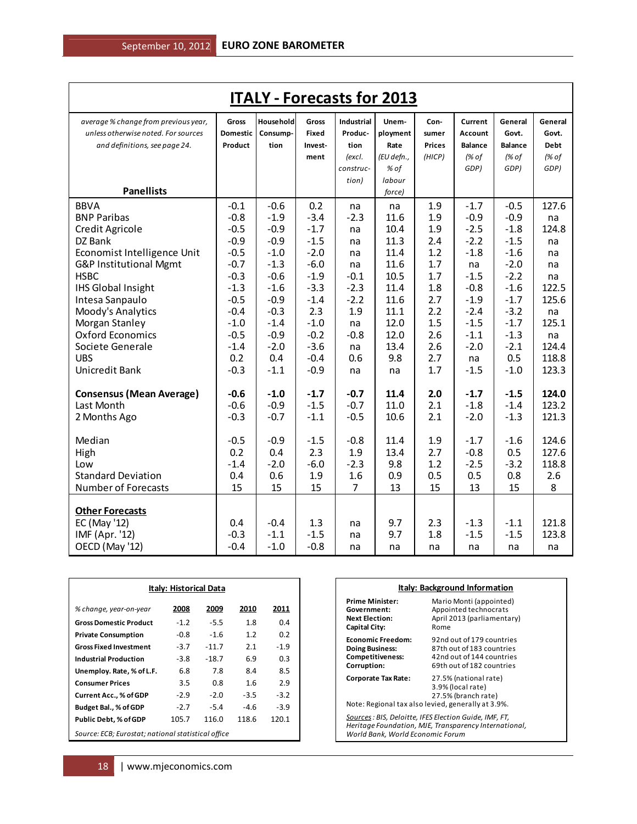| <b>ITALY - Forecasts for 2013</b>    |              |           |              |                   |            |               |                |                |         |
|--------------------------------------|--------------|-----------|--------------|-------------------|------------|---------------|----------------|----------------|---------|
| average % change from previous year, | <b>Gross</b> | Household | <b>Gross</b> | <b>Industrial</b> | Unem-      | Con-          | Current        | General        | General |
| unless otherwise noted. For sources  | Domestic     | Consump-  | Fixed        | Produc-           | ployment   | sumer         | Account        | Govt.          | Govt.   |
| and definitions, see page 24.        | Product      | tion      | Invest-      | tion              | Rate       | <b>Prices</b> | <b>Balance</b> | <b>Balance</b> | Debt    |
|                                      |              |           | ment         | (excl.            | (EU defn., | (HICP)        | (% of          | (% of          | (% of   |
|                                      |              |           |              | construc-         | % of       |               | GDP)           | GDP)           | GDP)    |
|                                      |              |           |              | tion)             | labour     |               |                |                |         |
| <b>Panellists</b>                    |              |           |              |                   | force)     |               |                |                |         |
| <b>BBVA</b>                          | $-0.1$       | $-0.6$    | 0.2          | na                | na         | 1.9           | $-1.7$         | $-0.5$         | 127.6   |
| <b>BNP Paribas</b>                   | $-0.8$       | $-1.9$    | $-3.4$       | $-2.3$            | 11.6       | 1.9           | $-0.9$         | $-0.9$         | na      |
| Credit Agricole                      | $-0.5$       | $-0.9$    | $-1.7$       | na                | 10.4       | 1.9           | $-2.5$         | $-1.8$         | 124.8   |
| DZ Bank                              | $-0.9$       | $-0.9$    | $-1.5$       | na                | 11.3       | 2.4           | $-2.2$         | $-1.5$         | na      |
| Economist Intelligence Unit          | $-0.5$       | $-1.0$    | $-2.0$       | na                | 11.4       | 1.2           | $-1.8$         | $-1.6$         | na      |
| G&P Institutional Mgmt               | $-0.7$       | $-1.3$    | $-6.0$       | na                | 11.6       | 1.7           | na             | $-2.0$         | na      |
| <b>HSBC</b>                          | $-0.3$       | $-0.6$    | $-1.9$       | $-0.1$            | 10.5       | 1.7           | $-1.5$         | $-2.2$         | na      |
| <b>IHS Global Insight</b>            | $-1.3$       | $-1.6$    | $-3.3$       | $-2.3$            | 11.4       | 1.8           | $-0.8$         | $-1.6$         | 122.5   |
| Intesa Sanpaulo                      | $-0.5$       | $-0.9$    | $-1.4$       | $-2.2$            | 11.6       | 2.7           | $-1.9$         | $-1.7$         | 125.6   |
| Moody's Analytics                    | $-0.4$       | $-0.3$    | 2.3          | 1.9               | 11.1       | 2.2           | $-2.4$         | $-3.2$         | na      |
| Morgan Stanley                       | $-1.0$       | $-1.4$    | $-1.0$       | na                | 12.0       | 1.5           | $-1.5$         | $-1.7$         | 125.1   |
| <b>Oxford Economics</b>              | $-0.5$       | $-0.9$    | $-0.2$       | $-0.8$            | 12.0       | 2.6           | $-1.1$         | $-1.3$         | na      |
| Societe Generale                     | $-1.4$       | $-2.0$    | $-3.6$       | na                | 13.4       | 2.6           | $-2.0$         | $-2.1$         | 124.4   |
| <b>UBS</b>                           | 0.2          | 0.4       | $-0.4$       | 0.6               | 9.8        | 2.7           | na             | 0.5            | 118.8   |
| Unicredit Bank                       | $-0.3$       | $-1.1$    | $-0.9$       | na                | na         | 1.7           | $-1.5$         | $-1.0$         | 123.3   |
| <b>Consensus (Mean Average)</b>      | $-0.6$       | $-1.0$    | $-1.7$       | $-0.7$            | 11.4       | 2.0           | $-1.7$         | $-1.5$         | 124.0   |
| Last Month                           | $-0.6$       | $-0.9$    | $-1.5$       | $-0.7$            | 11.0       | 2.1           | $-1.8$         | $-1.4$         | 123.2   |
| 2 Months Ago                         | $-0.3$       | $-0.7$    | $-1.1$       | $-0.5$            | 10.6       | 2.1           | $-2.0$         | $-1.3$         | 121.3   |
|                                      |              |           |              |                   |            |               |                |                |         |
| Median                               | $-0.5$       | $-0.9$    | $-1.5$       | $-0.8$            | 11.4       | 1.9           | $-1.7$         | $-1.6$         | 124.6   |
| High                                 | 0.2          | 0.4       | 2.3          | 1.9               | 13.4       | 2.7           | $-0.8$         | 0.5            | 127.6   |
| Low                                  | $-1.4$       | $-2.0$    | $-6.0$       | $-2.3$            | 9.8        | 1.2           | $-2.5$         | $-3.2$         | 118.8   |
| <b>Standard Deviation</b>            | 0.4          | 0.6       | 1.9          | 1.6               | 0.9        | 0.5           | 0.5            | 0.8            | 2.6     |
| Number of Forecasts                  | 15           | 15        | 15           | 7                 | 13         | 15            | 13             | 15             | 8       |
| <b>Other Forecasts</b>               |              |           |              |                   |            |               |                |                |         |
| EC (May '12)                         | 0.4          | $-0.4$    | 1.3          | na                | 9.7        | 2.3           | $-1.3$         | $-1.1$         | 121.8   |
| IMF (Apr. '12)                       | $-0.3$       | $-1.1$    | $-1.5$       | na                | 9.7        | 1.8           | $-1.5$         | $-1.5$         | 123.8   |
| OECD (May '12)                       | $-0.4$       | $-1.0$    | $-0.8$       | na                | na         | na            | na             | na             | na      |
|                                      |              |           |              |                   |            |               |                |                |         |

| Italy: Historical Data                             |        |         |        |        |  |  |  |  |  |
|----------------------------------------------------|--------|---------|--------|--------|--|--|--|--|--|
| % change, year-on-year                             | 2008   | 2009    | 2010   | 2011   |  |  |  |  |  |
| <b>Gross Domestic Product</b>                      | $-1.2$ | $-5.5$  | 1.8    | 0.4    |  |  |  |  |  |
| <b>Private Consumption</b>                         | -0.8   | $-1.6$  | 1.2    | 0.2    |  |  |  |  |  |
| <b>Gross Fixed Investment</b>                      | $-3.7$ | $-11.7$ | 2.1    | $-1.9$ |  |  |  |  |  |
| <b>Industrial Production</b>                       | -3.8   | $-18.7$ | 6.9    | 0.3    |  |  |  |  |  |
| Unemploy. Rate, % of L.F.                          | 6.8    | 7.8     | 8.4    | 8.5    |  |  |  |  |  |
| <b>Consumer Prices</b>                             | 3.5    | 0.8     | 1.6    | 2.9    |  |  |  |  |  |
| <b>Current Acc., % of GDP</b>                      | $-2.9$ | $-2.0$  | $-3.5$ | $-3.2$ |  |  |  |  |  |
| Budget Bal., % of GDP                              | $-2.7$ | $-5.4$  | $-4.6$ | $-3.9$ |  |  |  |  |  |
| Public Debt, % of GDP                              | 105.7  | 116.0   | 118.6  | 120.1  |  |  |  |  |  |
| Source: ECB; Eurostat; national statistical office |        |         |        |        |  |  |  |  |  |

| Italy: Background Information                                                                                                                      |                                                                                                                  |  |  |  |  |  |  |
|----------------------------------------------------------------------------------------------------------------------------------------------------|------------------------------------------------------------------------------------------------------------------|--|--|--|--|--|--|
| <b>Prime Minister:</b><br>Government:<br><b>Next Election:</b><br><b>Capital City:</b>                                                             | Mario Monti (appointed)<br>Appointed technocrats<br>April 2013 (parliamentary)<br>Rome                           |  |  |  |  |  |  |
| <b>Economic Freedom:</b><br><b>Doing Business:</b><br><b>Competitiveness:</b><br>Corruption:                                                       | 92nd out of 179 countries<br>87th out of 183 countries<br>42nd out of 144 countries<br>69th out of 182 countries |  |  |  |  |  |  |
| <b>Corporate Tax Rate:</b><br>Note: Regional tax also levied, generally at 3.9%.                                                                   | 27.5% (national rate)<br>3.9% (local rate)<br>27.5% (branch rate)                                                |  |  |  |  |  |  |
| Sources: BIS, Deloitte, IFES Election Guide, IMF, FT,<br>Heritage Foundation, MJE, Transparency International,<br>World Bank, World Economic Forum |                                                                                                                  |  |  |  |  |  |  |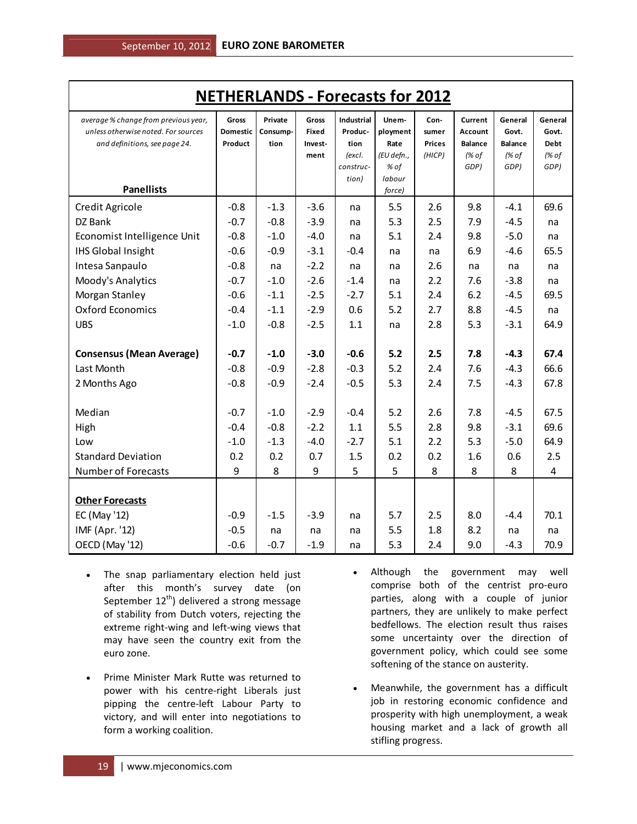| <b>NETHERLANDS - Forecasts for 2012</b>                                                                      |                              |                             |                                   |                                                                      |                                                           |                                          |                                                       |                                                     |                                                  |
|--------------------------------------------------------------------------------------------------------------|------------------------------|-----------------------------|-----------------------------------|----------------------------------------------------------------------|-----------------------------------------------------------|------------------------------------------|-------------------------------------------------------|-----------------------------------------------------|--------------------------------------------------|
| average % change from previous year,<br>unless otherwise noted. For sources<br>and definitions, see page 24. | Gross<br>Domestic<br>Product | Private<br>Consump-<br>tion | Gross<br>Fixed<br>Invest-<br>ment | <b>Industrial</b><br>Produc-<br>tion<br>(excl.<br>construc-<br>tion) | Unem-<br>ployment<br>Rate<br>(EU defn.,<br>% of<br>labour | Con-<br>sumer<br><b>Prices</b><br>(HICP) | Current<br>Account<br><b>Balance</b><br>(% of<br>GDP) | General<br>Govt.<br><b>Balance</b><br>(% of<br>GDP) | General<br>Govt.<br><b>Debt</b><br>(% of<br>GDP) |
| <b>Panellists</b>                                                                                            |                              |                             |                                   |                                                                      | force)                                                    |                                          |                                                       |                                                     |                                                  |
| Credit Agricole                                                                                              | $-0.8$                       | $-1.3$                      | $-3.6$                            | na                                                                   | 5.5                                                       | 2.6                                      | 9.8                                                   | $-4.1$                                              | 69.6                                             |
| DZ Bank                                                                                                      | $-0.7$                       | $-0.8$                      | $-3.9$                            | na                                                                   | 5.3                                                       | 2.5                                      | 7.9                                                   | $-4.5$                                              | na                                               |
| Economist Intelligence Unit                                                                                  | $-0.8$                       | $-1.0$                      | $-4.0$                            | na                                                                   | 5.1                                                       | 2.4                                      | 9.8                                                   | $-5.0$                                              | na                                               |
| <b>IHS Global Insight</b>                                                                                    | $-0.6$                       | $-0.9$                      | $-3.1$                            | $-0.4$                                                               | na                                                        | na                                       | 6.9                                                   | $-4.6$                                              | 65.5                                             |
| Intesa Sanpaulo                                                                                              | $-0.8$                       | na                          | $-2.2$                            | na                                                                   | na                                                        | 2.6                                      | na                                                    | na                                                  | na                                               |
| Moody's Analytics                                                                                            | $-0.7$                       | $-1.0$                      | $-2.6$                            | $-1.4$                                                               | na                                                        | 2.2                                      | 7.6                                                   | $-3.8$                                              | na                                               |
| Morgan Stanley                                                                                               | $-0.6$                       | $-1.1$                      | $-2.5$                            | $-2.7$                                                               | 5.1                                                       | 2.4                                      | 6.2                                                   | $-4.5$                                              | 69.5                                             |
| <b>Oxford Economics</b>                                                                                      | $-0.4$                       | $-1.1$                      | $-2.9$                            | 0.6                                                                  | 5.2                                                       | 2.7                                      | 8.8                                                   | $-4.5$                                              | na                                               |
| <b>UBS</b>                                                                                                   | $-1.0$                       | $-0.8$                      | $-2.5$                            | 1.1                                                                  | na                                                        | 2.8                                      | 5.3                                                   | $-3.1$                                              | 64.9                                             |
| <b>Consensus (Mean Average)</b>                                                                              | $-0.7$                       | $-1.0$                      | $-3.0$                            | $-0.6$                                                               | 5.2                                                       | 2.5                                      | 7.8                                                   | $-4.3$                                              | 67.4                                             |
| Last Month                                                                                                   | $-0.8$                       | $-0.9$                      | $-2.8$                            | $-0.3$                                                               | 5.2                                                       | 2.4                                      | 7.6                                                   | $-4.3$                                              | 66.6                                             |
| 2 Months Ago                                                                                                 | $-0.8$                       | $-0.9$                      | $-2.4$                            | $-0.5$                                                               | 5.3                                                       | 2.4                                      | 7.5                                                   | $-4.3$                                              | 67.8                                             |
| Median                                                                                                       | $-0.7$                       | $-1.0$                      | $-2.9$                            | $-0.4$                                                               | 5.2                                                       | 2.6                                      | 7.8                                                   | $-4.5$                                              | 67.5                                             |
| High                                                                                                         | $-0.4$                       | $-0.8$                      | $-2.2$                            | 1.1                                                                  | 5.5                                                       | 2.8                                      | 9.8                                                   | $-3.1$                                              | 69.6                                             |
| Low                                                                                                          | $-1.0$                       | $-1.3$                      | $-4.0$                            | $-2.7$                                                               | 5.1                                                       | 2.2                                      | 5.3                                                   | $-5.0$                                              | 64.9                                             |
| <b>Standard Deviation</b>                                                                                    | 0.2                          | 0.2                         | 0.7                               | 1.5                                                                  | 0.2                                                       | 0.2                                      | 1.6                                                   | 0.6                                                 | 2.5                                              |
| <b>Number of Forecasts</b>                                                                                   | 9                            | 8                           | 9                                 | 5                                                                    | 5                                                         | 8                                        | 8                                                     | 8                                                   | 4                                                |
|                                                                                                              |                              |                             |                                   |                                                                      |                                                           |                                          |                                                       |                                                     |                                                  |
| <b>Other Forecasts</b>                                                                                       |                              |                             |                                   |                                                                      |                                                           |                                          |                                                       |                                                     |                                                  |
| EC (May '12)                                                                                                 | $-0.9$                       | $-1.5$                      | $-3.9$                            | na                                                                   | 5.7                                                       | 2.5                                      | 8.0                                                   | $-4.4$                                              | 70.1                                             |
| IMF (Apr. '12)                                                                                               | $-0.5$                       | na                          | na                                | na                                                                   | 5.5                                                       | 1.8                                      | 8.2                                                   | na                                                  | na                                               |
| OECD (May '12)                                                                                               | $-0.6$                       | $-0.7$                      | $-1.9$                            | na                                                                   | 5.3                                                       | 2.4                                      | 9.0                                                   | $-4.3$                                              | 70.9                                             |

after this month's survey date (on September 12<sup>th</sup>) delivered a strong message of stability from Dutch voters, rejecting the extreme right-wing and left-wing views that may have seen the country exit from the euro zone.

The snap parliamentary election held just

- Prime Minister Mark Rutte was returned to power with his centre-right Liberals just pipping the centre-left Labour Party to victory, and will enter into negotiations to form a working coalition.
- Although the government may well comprise both of the centrist pro-euro parties, along with a couple of junior partners, they are unlikely to make perfect bedfellows. The election result thus raises some uncertainty over the direction of government policy, which could see some softening of the stance on austerity.
- Meanwhile, the government has a difficult job in restoring economic confidence and prosperity with high unemployment, a weak housing market and a lack of growth all stifling progress.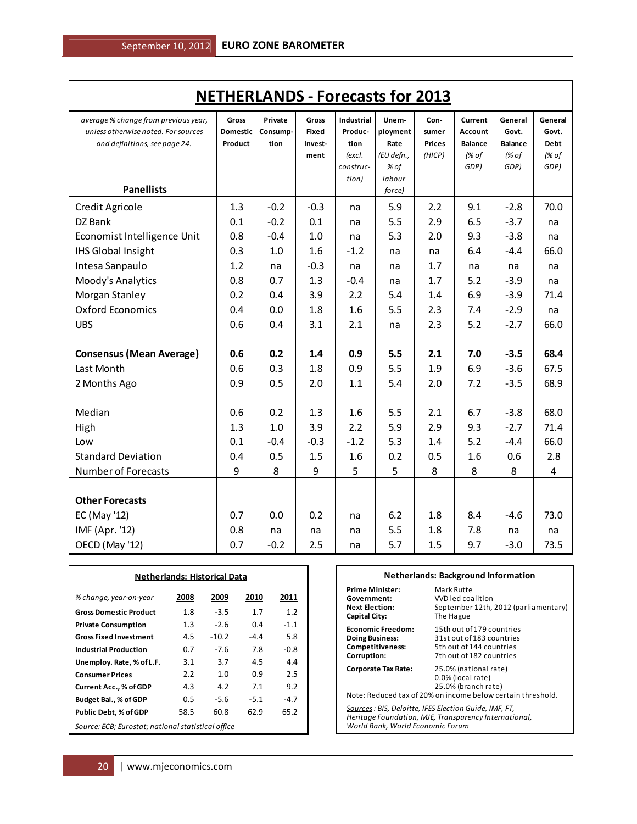| <b>NETHERLANDS - Forecasts for 2013</b>                                                                      |                                     |                             |                           |                               |                                        |                                |                                      |                                    |                                 |
|--------------------------------------------------------------------------------------------------------------|-------------------------------------|-----------------------------|---------------------------|-------------------------------|----------------------------------------|--------------------------------|--------------------------------------|------------------------------------|---------------------------------|
| average % change from previous year,<br>unless otherwise noted. For sources<br>and definitions, see page 24. | <b>Gross</b><br>Domestic<br>Product | Private<br>Consump-<br>tion | Gross<br>Fixed<br>Invest- | Industrial<br>Produc-<br>tion | Unem-<br>ployment<br>Rate              | Con-<br>sumer<br><b>Prices</b> | Current<br>Account<br><b>Balance</b> | General<br>Govt.<br><b>Balance</b> | General<br>Govt.<br><b>Debt</b> |
| <b>Panellists</b>                                                                                            |                                     |                             | ment                      | (excl.<br>construc-<br>tion)  | (EU defn.,<br>% of<br>labour<br>force) | (HICP)                         | (% of<br>GDP)                        | (% of<br>GDP)                      | (% of<br>GDP)                   |
| Credit Agricole                                                                                              | 1.3                                 | $-0.2$                      | $-0.3$                    | na                            | 5.9                                    | 2.2                            | 9.1                                  | $-2.8$                             | 70.0                            |
| DZ Bank                                                                                                      | 0.1                                 | $-0.2$                      | 0.1                       | na                            | 5.5                                    | 2.9                            | 6.5                                  | $-3.7$                             | na                              |
| Economist Intelligence Unit                                                                                  | 0.8                                 | $-0.4$                      | 1.0                       | na                            | 5.3                                    | 2.0                            | 9.3                                  | $-3.8$                             | na                              |
| <b>IHS Global Insight</b>                                                                                    | 0.3                                 | 1.0                         | 1.6                       | $-1.2$                        | na                                     | na                             | 6.4                                  | $-4.4$                             | 66.0                            |
| Intesa Sanpaulo                                                                                              | 1.2                                 | na                          | $-0.3$                    | na                            | na                                     | 1.7                            | na                                   | na                                 | na                              |
| Moody's Analytics                                                                                            | 0.8                                 | 0.7                         | 1.3                       | $-0.4$                        | na                                     | 1.7                            | 5.2                                  | $-3.9$                             | na                              |
| Morgan Stanley                                                                                               | 0.2                                 | 0.4                         | 3.9                       | 2.2                           | 5.4                                    | 1.4                            | 6.9                                  | $-3.9$                             | 71.4                            |
| <b>Oxford Economics</b>                                                                                      | 0.4                                 | 0.0                         | 1.8                       | 1.6                           | 5.5                                    | 2.3                            | 7.4                                  | $-2.9$                             | na                              |
| <b>UBS</b>                                                                                                   | 0.6                                 | 0.4                         | 3.1                       | 2.1                           | na                                     | 2.3                            | 5.2                                  | $-2.7$                             | 66.0                            |
| <b>Consensus (Mean Average)</b>                                                                              | 0.6                                 | 0.2                         | 1.4                       | 0.9                           | 5.5                                    | 2.1                            | 7.0                                  | $-3.5$                             | 68.4                            |
| Last Month                                                                                                   | 0.6                                 | 0.3                         | 1.8                       | 0.9                           | 5.5                                    | 1.9                            | 6.9                                  | $-3.6$                             | 67.5                            |
| 2 Months Ago                                                                                                 | 0.9                                 | 0.5                         | 2.0                       | 1.1                           | 5.4                                    | 2.0                            | 7.2                                  | $-3.5$                             | 68.9                            |
| Median                                                                                                       | 0.6                                 | 0.2                         | 1.3                       | 1.6                           | 5.5                                    | 2.1                            | 6.7                                  | $-3.8$                             | 68.0                            |
| High                                                                                                         | 1.3                                 | 1.0                         | 3.9                       | 2.2                           | 5.9                                    | 2.9                            | 9.3                                  | $-2.7$                             | 71.4                            |
| Low                                                                                                          | 0.1                                 | $-0.4$                      | $-0.3$                    | $-1.2$                        | 5.3                                    | 1.4                            | 5.2                                  | $-4.4$                             | 66.0                            |
| <b>Standard Deviation</b>                                                                                    | 0.4                                 | 0.5                         | 1.5                       | 1.6                           | 0.2                                    | 0.5                            | 1.6                                  | 0.6                                | 2.8                             |
| <b>Number of Forecasts</b>                                                                                   | 9                                   | 8                           | 9                         | 5                             | 5                                      | 8                              | 8                                    | 8                                  | 4                               |
| <b>Other Forecasts</b>                                                                                       |                                     |                             |                           |                               |                                        |                                |                                      |                                    |                                 |
| EC (May '12)                                                                                                 | 0.7                                 | 0.0                         | 0.2                       | na                            | 6.2                                    | 1.8                            | 8.4                                  | $-4.6$                             | 73.0                            |
| IMF (Apr. '12)                                                                                               | 0.8                                 | na                          | na                        | na                            | 5.5                                    | 1.8                            | 7.8                                  | na                                 | na                              |
| OECD (May '12)                                                                                               | 0.7                                 | $-0.2$                      | 2.5                       | na                            | 5.7                                    | 1.5                            | 9.7                                  | $-3.0$                             | 73.5                            |

| <b>Netherlands: Historical Data</b>                |         |         |        |        |
|----------------------------------------------------|---------|---------|--------|--------|
| % change, year-on-year                             | 2008    | 2009    | 2010   | 2011   |
| <b>Gross Domestic Product</b>                      | 1.8     | $-3.5$  | 1.7    | 1.2    |
| <b>Private Consumption</b>                         | $1.3\,$ | $-2.6$  | 0.4    | $-1.1$ |
| <b>Gross Fixed Investment</b>                      | 4.5     | $-10.2$ | $-4.4$ | 5.8    |
| <b>Industrial Production</b>                       | 0.7     | $-7.6$  | 7.8    | $-0.8$ |
| Unemploy. Rate, % of L.F.                          | 3.1     | 3.7     | 4.5    | 4.4    |
| <b>Consumer Prices</b>                             | 2.2     | 1.0     | 0.9    | 2.5    |
| <b>Current Acc., % of GDP</b>                      | 4.3     | 4.2     | 7.1    | 9.2    |
| Budget Bal., % of GDP                              | 0.5     | $-5.6$  | $-5.1$ | $-4.7$ |
| Public Debt, % of GDP                              | 58.5    | 60.8    | 62.9   | 65.2   |
| Source: ECB; Eurostat; national statistical office |         |         |        |        |

#### **Netherlands: Background Information**

| Prime Minister:                                                                            | Mark Rutte                                                                                                                       |
|--------------------------------------------------------------------------------------------|----------------------------------------------------------------------------------------------------------------------------------|
| Government:                                                                                | VVD led coalition                                                                                                                |
| Next Election:                                                                             | September 12th, 2012 (parliamentary)                                                                                             |
| Capital City:                                                                              | The Hague                                                                                                                        |
| Economic Freedom:                                                                          | 15th out of 179 countries                                                                                                        |
| <b>Doing Business:</b>                                                                     | 31st out of 183 countries                                                                                                        |
| <b>Competitiveness:</b>                                                                    | 5th out of 144 countries                                                                                                         |
| Corruption:                                                                                | 7th out of 182 countries                                                                                                         |
| Corporate Tax Rate:                                                                        | 25.0% (national rate)<br>0.0% (local rate)<br>25.0% (branch rate)<br>Note: Reduced tax of 20% on income below certain threshold. |
| Sources : BIS, Deloitte, IFES Election Guide, IMF, FT,<br>World Bank, World Economic Forum | Heritage Foundation, MJE, Transparency International,                                                                            |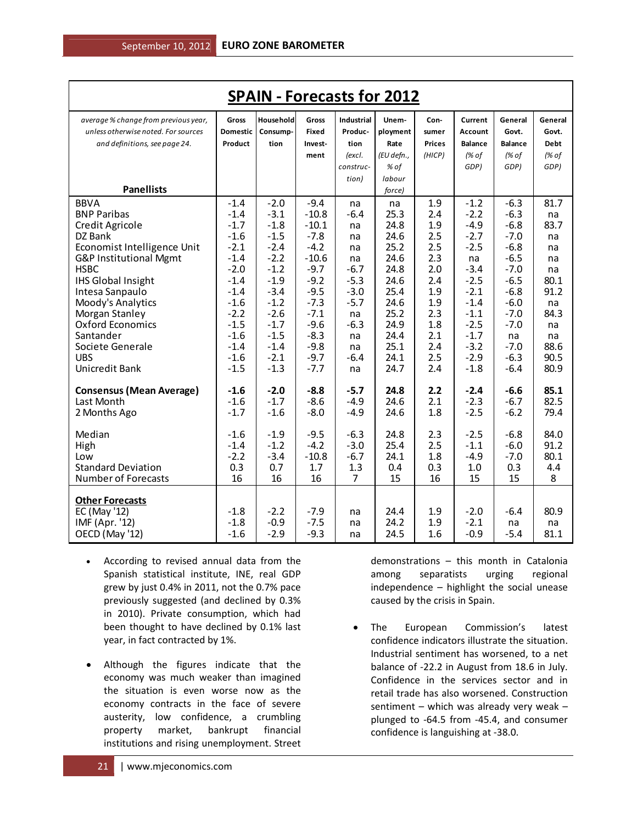| <b>SPAIN - Forecasts for 2012</b>                                           |                          |                        |                |                              |                   |               |                    |                  |                  |
|-----------------------------------------------------------------------------|--------------------------|------------------------|----------------|------------------------------|-------------------|---------------|--------------------|------------------|------------------|
| average % change from previous year,<br>unless otherwise noted. For sources | Gross<br><b>Domestic</b> | House hold<br>Consump- | Gross<br>Fixed | <b>Industrial</b><br>Produc- | Unem-<br>ployment | Con-<br>sumer | Current<br>Account | General<br>Govt. | General<br>Govt. |
| and definitions, see page 24.                                               | Product                  | tion                   | Invest-        | tion                         | Rate              | <b>Prices</b> | <b>Balance</b>     | <b>Balance</b>   | <b>Debt</b>      |
|                                                                             |                          |                        | ment           | (excl.                       | (EU defn.,        | (HICP)        | (% of              | (% of            | (% of            |
|                                                                             |                          |                        |                | construc-                    | % of              |               | GDP)               | GDP)             | GDP)             |
|                                                                             |                          |                        |                | tion)                        | labour            |               |                    |                  |                  |
| <b>Panellists</b>                                                           |                          |                        |                |                              | force)            |               |                    |                  |                  |
| <b>BBVA</b>                                                                 | $-1.4$                   | $-2.0$                 | $-9.4$         | na                           | na                | 1.9           | $-1.2$             | $-6.3$           | 81.7             |
| <b>BNP Paribas</b>                                                          | $-1.4$                   | $-3.1$                 | $-10.8$        | $-6.4$                       | 25.3              | 2.4           | $-2.2$             | $-6.3$           | na               |
| Credit Agricole                                                             | $-1.7$                   | $-1.8$                 | $-10.1$        | na                           | 24.8              | 1.9           | $-4.9$             | $-6.8$           | 83.7             |
| DZ Bank                                                                     | $-1.6$                   | $-1.5$                 | $-7.8$         | na                           | 24.6              | 2.5           | $-2.7$             | $-7.0$           | na               |
| Economist Intelligence Unit                                                 | $-2.1$                   | $-2.4$                 | $-4.2$         | na                           | 25.2              | 2.5           | $-2.5$             | $-6.8$           | na               |
| G&P Institutional Mgmt                                                      | $-1.4$                   | $-2.2$                 | $-10.6$        | na                           | 24.6              | 2.3           | na                 | $-6.5$           | na               |
| <b>HSBC</b>                                                                 | $-2.0$                   | $-1.2$                 | $-9.7$         | $-6.7$                       | 24.8              | 2.0           | $-3.4$             | $-7.0$           | na               |
| <b>IHS Global Insight</b>                                                   | $-1.4$                   | $-1.9$                 | $-9.2$         | $-5.3$                       | 24.6              | 2.4           | $-2.5$             | $-6.5$           | 80.1             |
| Intesa Sanpaulo                                                             | $-1.4$                   | $-3.4$                 | $-9.5$         | $-3.0$                       | 25.4              | 1.9           | $-2.1$             | $-6.8$           | 91.2             |
| Moody's Analytics                                                           | $-1.6$                   | $-1.2$                 | $-7.3$         | $-5.7$                       | 24.6              | 1.9           | $-1.4$             | $-6.0$           | na               |
| Morgan Stanley                                                              | $-2.2$                   | $-2.6$                 | $-7.1$         | na                           | 25.2              | 2.3           | $-1.1$             | $-7.0$           | 84.3             |
| <b>Oxford Economics</b>                                                     | $-1.5$                   | $-1.7$                 | $-9.6$         | $-6.3$                       | 24.9              | 1.8           | $-2.5$             | $-7.0$           | na               |
| Santander                                                                   | $-1.6$                   | $-1.5$                 | $-8.3$         | na                           | 24.4              | 2.1           | $-1.7$             | na               | na               |
| Societe Generale                                                            | $-1.4$                   | $-1.4$                 | $-9.8$         | na                           | 25.1              | 2.4           | $-3.2$             | $-7.0$           | 88.6             |
| <b>UBS</b>                                                                  | $-1.6$                   | $-2.1$                 | $-9.7$         | $-6.4$                       | 24.1              | 2.5           | $-2.9$             | $-6.3$           | 90.5             |
| Unicredit Bank                                                              | $-1.5$                   | $-1.3$                 | $-7.7$         | na                           | 24.7              | 2.4           | $-1.8$             | $-6.4$           | 80.9             |
| <b>Consensus (Mean Average)</b>                                             | $-1.6$                   | $-2.0$                 | $-8.8$         | $-5.7$                       | 24.8              | 2.2           | $-2.4$             | $-6.6$           | 85.1             |
| Last Month                                                                  | $-1.6$                   | $-1.7$                 | $-8.6$         | $-4.9$                       | 24.6              | 2.1           | $-2.3$             | $-6.7$           | 82.5             |
| 2 Months Ago                                                                | $-1.7$                   | $-1.6$                 | $-8.0$         | $-4.9$                       | 24.6              | 1.8           | $-2.5$             | $-6.2$           | 79.4             |
| Median                                                                      | $-1.6$                   | $-1.9$                 | $-9.5$         | $-6.3$                       | 24.8              | 2.3           | $-2.5$             | $-6.8$           | 84.0             |
| High                                                                        | $-1.4$                   | $-1.2$                 | $-4.2$         | $-3.0$                       | 25.4              | 2.5           | $-1.1$             | $-6.0$           | 91.2             |
| Low                                                                         | $-2.2$                   | $-3.4$                 | $-10.8$        | $-6.7$                       | 24.1              | 1.8           | $-4.9$             | $-7.0$           | 80.1             |
| <b>Standard Deviation</b>                                                   | 0.3                      | 0.7                    | 1.7            | 1.3                          | 0.4               | 0.3           | 1.0                | 0.3              | 4.4              |
| <b>Number of Forecasts</b>                                                  | 16                       | 16                     | 16             | $\overline{7}$               | 15                | 16            | 15                 | 15               | 8                |
| <b>Other Forecasts</b>                                                      |                          |                        |                |                              |                   |               |                    |                  |                  |
| EC (May '12)                                                                | $-1.8$                   | $-2.2$                 | $-7.9$         | na                           | 24.4              | 1.9           | $-2.0$             | $-6.4$           | 80.9             |
| IMF (Apr. '12)                                                              | $-1.8$                   | $-0.9$                 | $-7.5$         | na                           | 24.2              | 1.9           | $-2.1$             | na               | na               |
| OECD (May '12)                                                              | $-1.6$                   | $-2.9$                 | $-9.3$         | na                           | 24.5              | 1.6           | $-0.9$             | $-5.4$           | 81.1             |

- According to revised annual data from the Spanish statistical institute, INE, real GDP grew by just 0.4% in 2011, not the 0.7% pace previously suggested (and declined by 0.3% in 2010). Private consumption, which had been thought to have declined by 0.1% last year, in fact contracted by 1%.
- Although the figures indicate that the economy was much weaker than imagined the situation is even worse now as the economy contracts in the face of severe austerity, low confidence, a crumbling property market, bankrupt financial institutions and rising unemployment. Street

demonstrations – this month in Catalonia among separatists urging regional independence – highlight the social unease caused by the crisis in Spain.

• The European Commission's latest confidence indicators illustrate the situation. Industrial sentiment has worsened, to a net balance of -22.2 in August from 18.6 in July. Confidence in the services sector and in retail trade has also worsened. Construction sentiment – which was already very weak – plunged to -64.5 from -45.4, and consumer confidence is languishing at -38.0.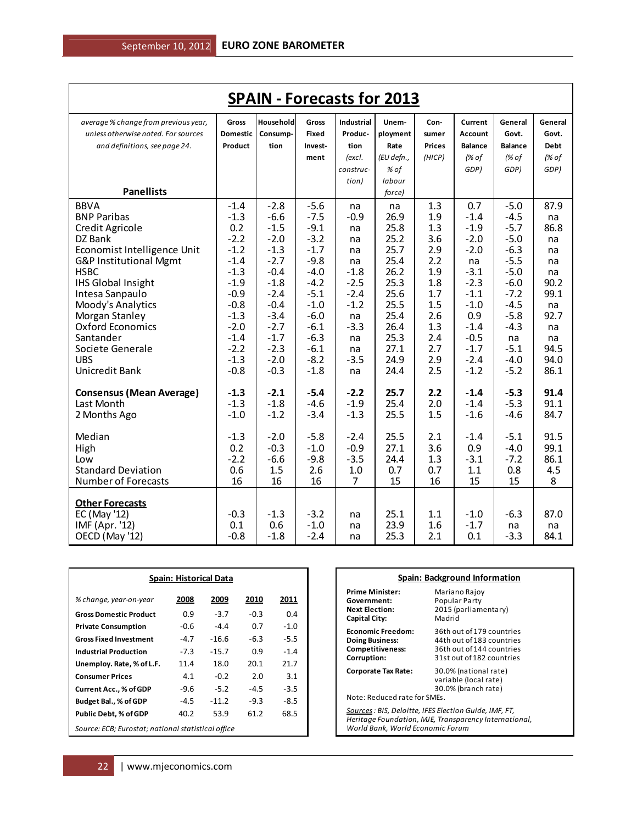| <b>SPAIN - Forecasts for 2013</b>         |                  |                  |                  |                   |              |               |                  |                |             |
|-------------------------------------------|------------------|------------------|------------------|-------------------|--------------|---------------|------------------|----------------|-------------|
| average % change from previous year,      | <b>Gross</b>     | Household        | <b>Gross</b>     | <b>Industrial</b> | Unem-        | Con-          | Current          | General        | General     |
| unless otherwise noted. For sources       | Domestic         | Consump-         | <b>Fixed</b>     | Produc-           | ployment     | sumer         | Account          | Govt.          | Govt.       |
| and definitions, see page 24.             | Product          | tion             | Invest-          | tion              | Rate         | <b>Prices</b> | <b>Balance</b>   | <b>Balance</b> | <b>Debt</b> |
|                                           |                  |                  | ment             | (excl.            | (EU defn.,   | (HICP)        | (% of            | (% of          | (% of       |
|                                           |                  |                  |                  | construc-         | % of         |               | GDP)             | GDP)           | GDP)        |
|                                           |                  |                  |                  | tion)             | labour       |               |                  |                |             |
| <b>Panellists</b>                         |                  |                  |                  |                   | force)       |               |                  |                |             |
| <b>BBVA</b>                               | $-1.4$           | $-2.8$           | $-5.6$           | na                | na           | 1.3           | 0.7              | $-5.0$         | 87.9        |
| <b>BNP Paribas</b>                        | $-1.3$           | $-6.6$           | $-7.5$           | $-0.9$            | 26.9         | 1.9           | $-1.4$           | $-4.5$         | na          |
| Credit Agricole                           | 0.2              | $-1.5$           | $-9.1$           | na                | 25.8         | 1.3           | $-1.9$           | $-5.7$         | 86.8        |
| DZ Bank                                   | $-2.2$           | $-2.0$           | $-3.2$           | na                | 25.2         | 3.6           | $-2.0$           | $-5.0$         | na          |
| Economist Intelligence Unit               | $-1.2$           | $-1.3$           | $-1.7$           | na                | 25.7         | 2.9           | $-2.0$           | $-6.3$         | na          |
| G&P Institutional Mgmt                    | $-1.4$           | $-2.7$           | $-9.8$           | na                | 25.4         | 2.2           | na               | $-5.5$         | na          |
| <b>HSBC</b>                               | $-1.3$           | $-0.4$           | $-4.0$           | $-1.8$            | 26.2         | 1.9           | $-3.1$           | $-5.0$         | na          |
| <b>IHS Global Insight</b>                 | $-1.9$           | $-1.8$           | $-4.2$           | $-2.5$            | 25.3         | 1.8           | $-2.3$           | $-6.0$         | 90.2        |
| Intesa Sanpaulo                           | $-0.9$           | $-2.4$           | $-5.1$           | $-2.4$            | 25.6         | 1.7           | $-1.1$           | $-7.2$         | 99.1        |
| Moody's Analytics                         | $-0.8$           | $-0.4$           | $-1.0$           | $-1.2$            | 25.5         | 1.5           | $-1.0$           | $-4.5$         | na          |
| Morgan Stanley<br><b>Oxford Economics</b> | $-1.3$           | $-3.4$           | $-6.0$           | na                | 25.4         | 2.6           | 0.9              | $-5.8$         | 92.7        |
| Santander                                 | $-2.0$<br>$-1.4$ | $-2.7$<br>$-1.7$ | $-6.1$<br>$-6.3$ | $-3.3$            | 26.4<br>25.3 | 1.3<br>2.4    | $-1.4$<br>$-0.5$ | $-4.3$         | na          |
| Societe Generale                          | $-2.2$           | $-2.3$           | $-6.1$           | na<br>na          | 27.1         | 2.7           | $-1.7$           | na<br>$-5.1$   | na<br>94.5  |
| <b>UBS</b>                                | $-1.3$           | $-2.0$           | $-8.2$           | $-3.5$            | 24.9         | 2.9           | $-2.4$           | $-4.0$         | 94.0        |
| Unicredit Bank                            | $-0.8$           | $-0.3$           | $-1.8$           | na                | 24.4         | 2.5           | $-1.2$           | $-5.2$         | 86.1        |
|                                           |                  |                  |                  |                   |              |               |                  |                |             |
| <b>Consensus (Mean Average)</b>           | $-1.3$           | $-2.1$           | $-5.4$           | $-2.2$            | 25.7         | 2.2           | $-1.4$           | $-5.3$         | 91.4        |
| Last Month                                | $-1.3$           | $-1.8$           | $-4.6$           | $-1.9$            | 25.4         | 2.0           | $-1.4$           | $-5.3$         | 91.1        |
| 2 Months Ago                              | $-1.0$           | $-1.2$           | $-3.4$           | $-1.3$            | 25.5         | 1.5           | $-1.6$           | $-4.6$         | 84.7        |
| Median                                    | $-1.3$           | $-2.0$           | $-5.8$           | $-2.4$            | 25.5         | 2.1           | $-1.4$           | $-5.1$         | 91.5        |
| High                                      | 0.2              | $-0.3$           | $-1.0$           | $-0.9$            | 27.1         | 3.6           | 0.9              | $-4.0$         | 99.1        |
| Low                                       | $-2.2$           | $-6.6$           | $-9.8$           | $-3.5$            | 24.4         | 1.3           | $-3.1$           | $-7.2$         | 86.1        |
| <b>Standard Deviation</b>                 | 0.6              | 1.5              | 2.6              | 1.0               | 0.7          | 0.7           | 1.1              | 0.8            | 4.5         |
| Number of Forecasts                       | 16               | 16               | 16               | 7                 | 15           | 16            | 15               | 15             | 8           |
|                                           |                  |                  |                  |                   |              |               |                  |                |             |
| <b>Other Forecasts</b>                    |                  |                  |                  |                   |              |               |                  |                |             |
| EC (May '12)<br>IMF (Apr. '12)            | $-0.3$<br>0.1    | $-1.3$<br>0.6    | $-3.2$<br>$-1.0$ | na                | 25.1<br>23.9 | 1.1           | $-1.0$<br>$-1.7$ | $-6.3$         | 87.0        |
|                                           | $-0.8$           | $-1.8$           | $-2.4$           | na                | 25.3         | 1.6<br>2.1    | 0.1              | na<br>$-3.3$   | na<br>84.1  |
| OECD (May '12)                            |                  |                  |                  | na                |              |               |                  |                |             |

| <b>Spain: Historical Data</b> |        |                                                    |        |        |  |  |  |  |  |
|-------------------------------|--------|----------------------------------------------------|--------|--------|--|--|--|--|--|
| % change, year-on-year        | 2008   | 2009                                               | 2010   | 2011   |  |  |  |  |  |
| <b>Gross Domestic Product</b> | 0.9    | $-3.7$                                             | -0.3   | 0.4    |  |  |  |  |  |
| <b>Private Consumption</b>    | -0.6   | $-4.4$                                             | 0.7    | $-1.0$ |  |  |  |  |  |
| <b>Gross Fixed Investment</b> | $-4.7$ | $-16.6$                                            | -6.3   | $-5.5$ |  |  |  |  |  |
| <b>Industrial Production</b>  | $-7.3$ | $-15.7$                                            | 0.9    | $-1.4$ |  |  |  |  |  |
| Unemploy. Rate, % of L.F.     | 11.4   | 18.0                                               | 20.1   | 21.7   |  |  |  |  |  |
| <b>Consumer Prices</b>        | 4.1    | $-0.2$                                             | 2.0    | 3.1    |  |  |  |  |  |
| Current Acc., % of GDP        | -9.6   | $-5.2$                                             | $-4.5$ | $-3.5$ |  |  |  |  |  |
| Budget Bal., % of GDP         | -4.5   | $-11.2$                                            | -9.3   | $-8.5$ |  |  |  |  |  |
| <b>Public Debt, % of GDP</b>  | 40.2   | 53.9                                               | 61.2   | 68.5   |  |  |  |  |  |
|                               |        | Source: ECB; Eurostat; national statistical office |        |        |  |  |  |  |  |

| <b>Spain: Background Information</b>                                                                                                                |                                                                                                                  |  |  |  |  |  |
|-----------------------------------------------------------------------------------------------------------------------------------------------------|------------------------------------------------------------------------------------------------------------------|--|--|--|--|--|
| <b>Prime Minister:</b><br>Government:<br><b>Next Election:</b><br><b>Capital City:</b>                                                              | Mariano Rajoy<br>Popular Party<br>2015 (parliamentary)<br>Madrid                                                 |  |  |  |  |  |
| <b>Economic Freedom:</b><br><b>Doing Business:</b><br>Competitiveness:<br>Corruption:                                                               | 36th out of 179 countries<br>44th out of 183 countries<br>36th out of 144 countries<br>31st out of 182 countries |  |  |  |  |  |
| Corporate Tax Rate:<br>Note: Reduced rate for SMEs.                                                                                                 | 30.0% (national rate)<br>variable (local rate)<br>30.0% (branch rate)                                            |  |  |  |  |  |
| Sources : BIS, Deloitte, IFES Election Guide, IMF, FT,<br>Heritage Foundation, MJE, Transparency International,<br>World Bank, World Economic Forum |                                                                                                                  |  |  |  |  |  |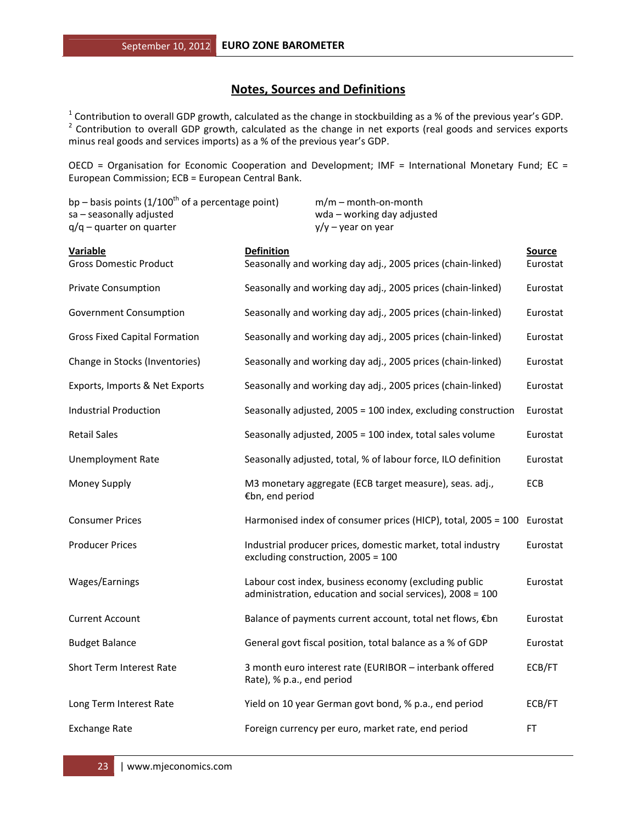# **Notes, Sources and Definitions**

<sup>1</sup> Contribution to overall GDP growth, calculated as the change in stockbuilding as a % of the previous year's GDP.<br><sup>2</sup> Contribution to overall GDP growth, calculated as the change in net exports (real goods and services minus real goods and services imports) as a % of the previous year's GDP.

OECD = Organisation for Economic Cooperation and Development; IMF = International Monetary Fund; EC = European Commission; ECB = European Central Bank.

| bp – basis points ( $1/100^{\text{th}}$ of a percentage point)<br>sa - seasonally adjusted<br>$q/q$ – quarter on quarter | $m/m$ – month-on-month<br>wda - working day adjusted<br>$y/y - year$ on year                                        |                           |
|--------------------------------------------------------------------------------------------------------------------------|---------------------------------------------------------------------------------------------------------------------|---------------------------|
| <b>Variable</b><br><b>Gross Domestic Product</b>                                                                         | <b>Definition</b><br>Seasonally and working day adj., 2005 prices (chain-linked)                                    | <b>Source</b><br>Eurostat |
| <b>Private Consumption</b>                                                                                               | Seasonally and working day adj., 2005 prices (chain-linked)                                                         | Eurostat                  |
| Government Consumption                                                                                                   | Seasonally and working day adj., 2005 prices (chain-linked)                                                         | Eurostat                  |
| <b>Gross Fixed Capital Formation</b>                                                                                     | Seasonally and working day adj., 2005 prices (chain-linked)                                                         | Eurostat                  |
| Change in Stocks (Inventories)                                                                                           | Seasonally and working day adj., 2005 prices (chain-linked)                                                         | Eurostat                  |
| Exports, Imports & Net Exports                                                                                           | Seasonally and working day adj., 2005 prices (chain-linked)                                                         | Eurostat                  |
| <b>Industrial Production</b>                                                                                             | Seasonally adjusted, 2005 = 100 index, excluding construction                                                       | Eurostat                  |
| <b>Retail Sales</b>                                                                                                      | Seasonally adjusted, 2005 = 100 index, total sales volume                                                           | Eurostat                  |
| <b>Unemployment Rate</b>                                                                                                 | Seasonally adjusted, total, % of labour force, ILO definition                                                       | Eurostat                  |
| Money Supply                                                                                                             | M3 monetary aggregate (ECB target measure), seas. adj.,<br>€bn, end period                                          | ECB                       |
| <b>Consumer Prices</b>                                                                                                   | Harmonised index of consumer prices (HICP), total, 2005 = 100                                                       | Eurostat                  |
| <b>Producer Prices</b>                                                                                                   | Industrial producer prices, domestic market, total industry<br>excluding construction, 2005 = 100                   | Eurostat                  |
| Wages/Earnings                                                                                                           | Labour cost index, business economy (excluding public<br>administration, education and social services), 2008 = 100 | Eurostat                  |
| <b>Current Account</b>                                                                                                   | Balance of payments current account, total net flows, €bn                                                           | Eurostat                  |
| <b>Budget Balance</b>                                                                                                    | General govt fiscal position, total balance as a % of GDP                                                           | Eurostat                  |
| Short Term Interest Rate                                                                                                 | 3 month euro interest rate (EURIBOR - interbank offered<br>Rate), % p.a., end period                                | ECB/FT                    |
| Long Term Interest Rate                                                                                                  | Yield on 10 year German govt bond, % p.a., end period                                                               | ECB/FT                    |
| <b>Exchange Rate</b>                                                                                                     | Foreign currency per euro, market rate, end period                                                                  | FT                        |